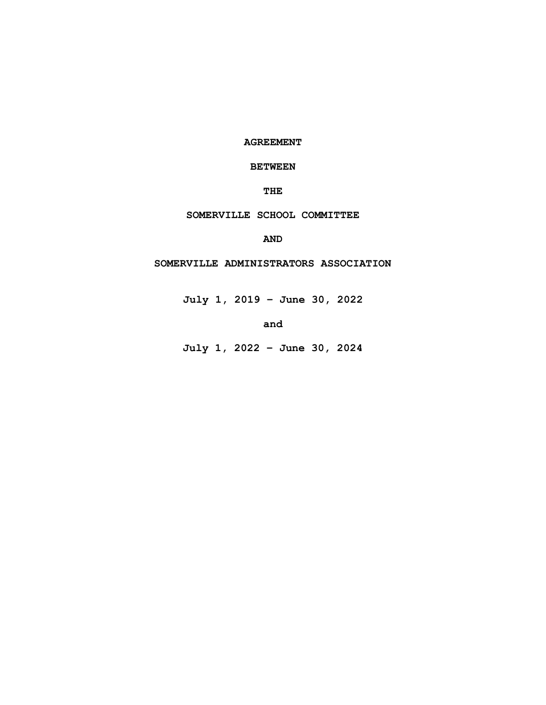**AGREEMENT**

# **BETWEEN**

**THE**

# **SOMERVILLE SCHOOL COMMITTEE**

**AND**

# **SOMERVILLE ADMINISTRATORS ASSOCIATION**

**July 1, 2019 – June 30, 2022**

**and**

**July 1, 2022 – June 30, 2024**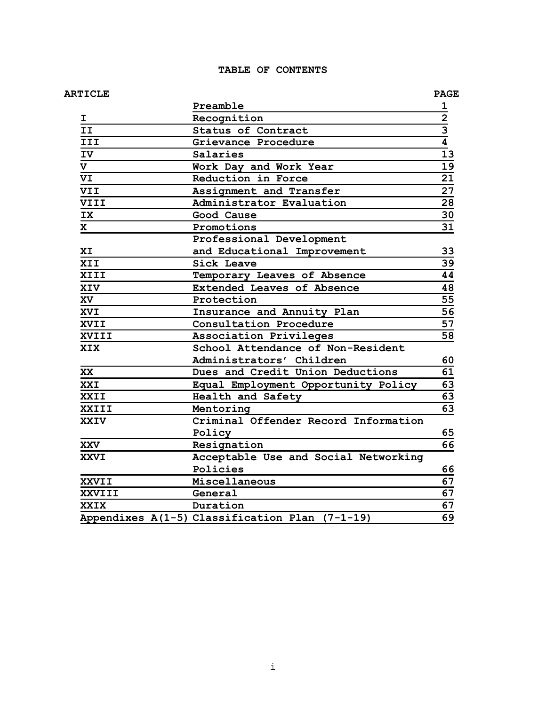# **TABLE OF CONTENTS**

# **ARTICLE PAGE**

|             | Preamble                                       | 1               |
|-------------|------------------------------------------------|-----------------|
| I.          | Recognition                                    |                 |
| II          | Status of Contract                             | $\frac{2}{3}$   |
| III         | Grievance Procedure                            |                 |
| IV          | Salaries                                       | 13              |
| V           | Work Day and Work Year                         | 19              |
| VI          | Reduction in Force                             | 21              |
| <b>VII</b>  | Assignment and Transfer                        | $\overline{27}$ |
| VIII        | Administrator Evaluation                       |                 |
| IX          | Good Cause                                     | 30              |
| X.          | Promotions                                     | 31              |
|             | Professional Development                       |                 |
| XI          | and Educational Improvement                    | 33              |
| XII         | Sick Leave                                     | 39              |
| XIII        | Temporary Leaves of Absence                    | 44              |
| <b>XIV</b>  | Extended Leaves of Absence                     | 48              |
| XV          | Protection                                     | 55              |
| XVI         | Insurance and Annuity Plan                     | 56              |
| XVII        | Consultation Procedure                         | 57              |
| XVIII       | <b>Association Privileges</b>                  |                 |
| XIX         | School Attendance of Non-Resident              |                 |
|             | Administrators' Children                       | 60              |
| XX          | Dues and Credit Union Deductions               | 61              |
| XXI         | Equal Employment Opportunity Policy            | 63              |
| XXII        | Health and Safety                              | 63              |
| XXIII       | Mentoring                                      | 63              |
| <b>XXIV</b> | Criminal Offender Record Information           |                 |
|             | Policy                                         | 65              |
| <b>XXV</b>  | Resignation                                    | 66              |
| <b>XXVI</b> | Acceptable Use and Social Networking           |                 |
|             | Policies                                       | 66              |
| XXVII       | Miscellaneous                                  | 67              |
| XXVIII      | General                                        | 67              |
| XXIX        | Duration                                       | 67              |
|             | Appendixes A(1-5) Classification Plan (7-1-19) | 69              |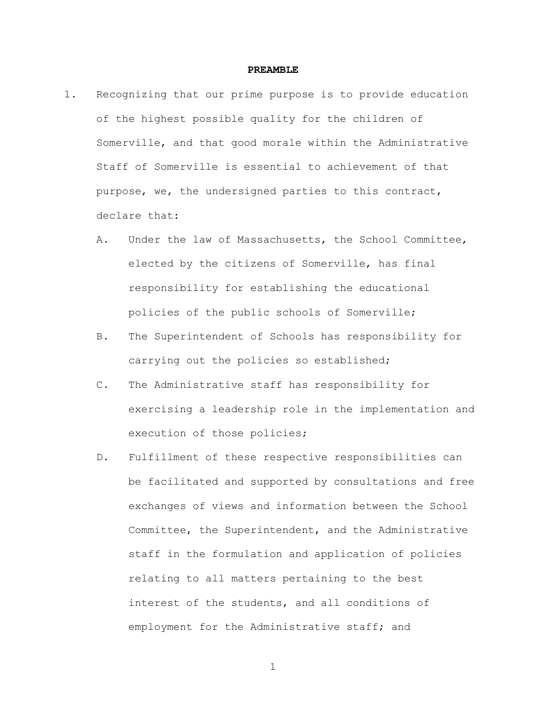### **PREAMBLE**

- 1. Recognizing that our prime purpose is to provide education of the highest possible quality for the children of Somerville, and that good morale within the Administrative Staff of Somerville is essential to achievement of that purpose, we, the undersigned parties to this contract, declare that:
	- A. Under the law of Massachusetts, the School Committee, elected by the citizens of Somerville, has final responsibility for establishing the educational policies of the public schools of Somerville;
	- B. The Superintendent of Schools has responsibility for carrying out the policies so established;
	- C. The Administrative staff has responsibility for exercising a leadership role in the implementation and execution of those policies;
	- D. Fulfillment of these respective responsibilities can be facilitated and supported by consultations and free exchanges of views and information between the School Committee, the Superintendent, and the Administrative staff in the formulation and application of policies relating to all matters pertaining to the best interest of the students, and all conditions of employment for the Administrative staff; and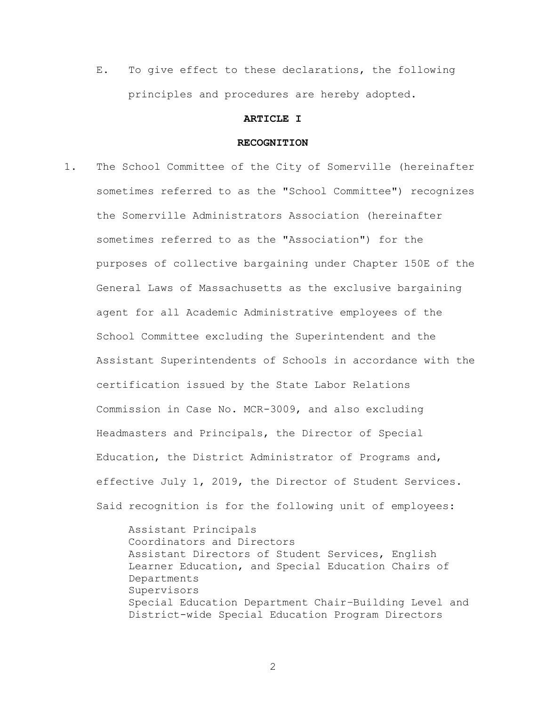E. To give effect to these declarations, the following principles and procedures are hereby adopted.

# **ARTICLE I**

# **RECOGNITION**

1. The School Committee of the City of Somerville (hereinafter sometimes referred to as the "School Committee") recognizes the Somerville Administrators Association (hereinafter sometimes referred to as the "Association") for the purposes of collective bargaining under Chapter 150E of the General Laws of Massachusetts as the exclusive bargaining agent for all Academic Administrative employees of the School Committee excluding the Superintendent and the Assistant Superintendents of Schools in accordance with the certification issued by the State Labor Relations Commission in Case No. MCR-3009, and also excluding Headmasters and Principals, the Director of Special Education, the District Administrator of Programs and, effective July 1, 2019, the Director of Student Services. Said recognition is for the following unit of employees:

> Assistant Principals Coordinators and Directors Assistant Directors of Student Services, English Learner Education, and Special Education Chairs of Departments Supervisors Special Education Department Chair–Building Level and District-wide Special Education Program Directors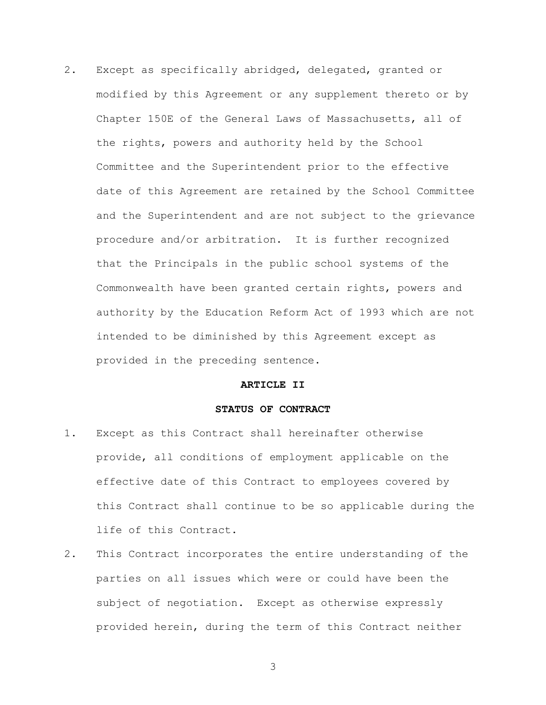2. Except as specifically abridged, delegated, granted or modified by this Agreement or any supplement thereto or by Chapter 150E of the General Laws of Massachusetts, all of the rights, powers and authority held by the School Committee and the Superintendent prior to the effective date of this Agreement are retained by the School Committee and the Superintendent and are not subject to the grievance procedure and/or arbitration. It is further recognized that the Principals in the public school systems of the Commonwealth have been granted certain rights, powers and authority by the Education Reform Act of 1993 which are not intended to be diminished by this Agreement except as provided in the preceding sentence.

# **ARTICLE II**

# **STATUS OF CONTRACT**

- 1. Except as this Contract shall hereinafter otherwise provide, all conditions of employment applicable on the effective date of this Contract to employees covered by this Contract shall continue to be so applicable during the life of this Contract.
- 2. This Contract incorporates the entire understanding of the parties on all issues which were or could have been the subject of negotiation. Except as otherwise expressly provided herein, during the term of this Contract neither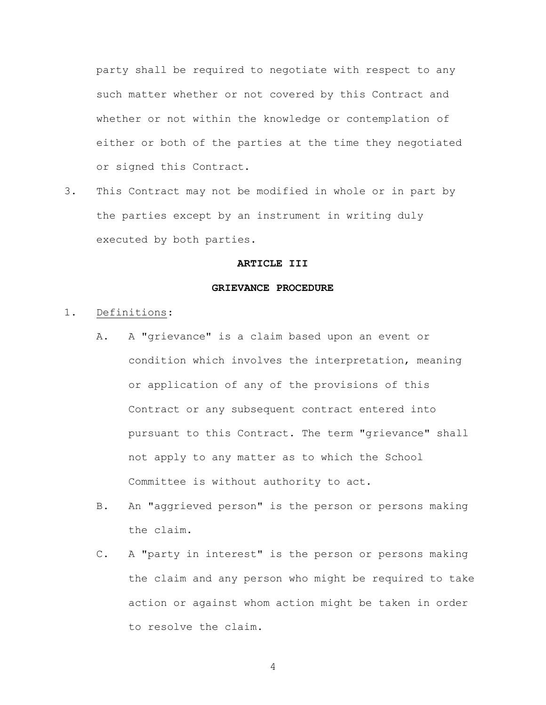party shall be required to negotiate with respect to any such matter whether or not covered by this Contract and whether or not within the knowledge or contemplation of either or both of the parties at the time they negotiated or signed this Contract.

3. This Contract may not be modified in whole or in part by the parties except by an instrument in writing duly executed by both parties.

# **ARTICLE III**

### **GRIEVANCE PROCEDURE**

- 1. Definitions:
	- A. A "grievance" is a claim based upon an event or condition which involves the interpretation, meaning or application of any of the provisions of this Contract or any subsequent contract entered into pursuant to this Contract. The term "grievance" shall not apply to any matter as to which the School Committee is without authority to act.
	- B. An "aggrieved person" is the person or persons making the claim.
	- C. A "party in interest" is the person or persons making the claim and any person who might be required to take action or against whom action might be taken in order to resolve the claim.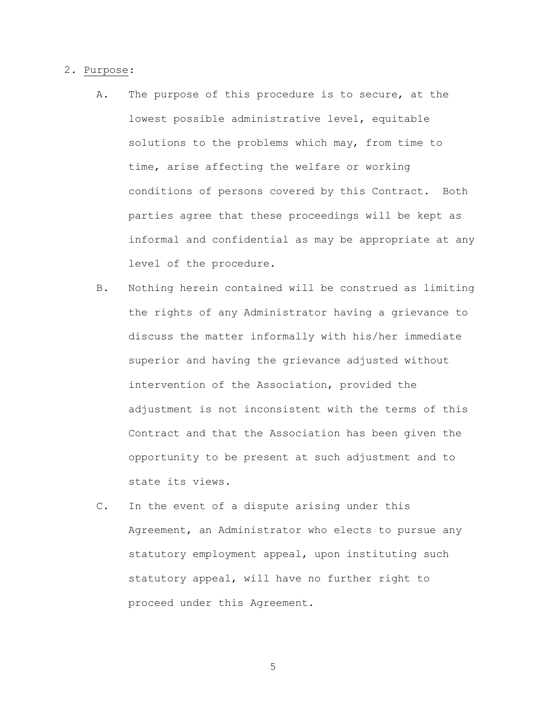## 2. Purpose:

- A. The purpose of this procedure is to secure, at the lowest possible administrative level, equitable solutions to the problems which may, from time to time, arise affecting the welfare or working conditions of persons covered by this Contract. Both parties agree that these proceedings will be kept as informal and confidential as may be appropriate at any level of the procedure.
- B. Nothing herein contained will be construed as limiting the rights of any Administrator having a grievance to discuss the matter informally with his/her immediate superior and having the grievance adjusted without intervention of the Association, provided the adjustment is not inconsistent with the terms of this Contract and that the Association has been given the opportunity to be present at such adjustment and to state its views.
- C. In the event of a dispute arising under this Agreement, an Administrator who elects to pursue any statutory employment appeal, upon instituting such statutory appeal, will have no further right to proceed under this Agreement.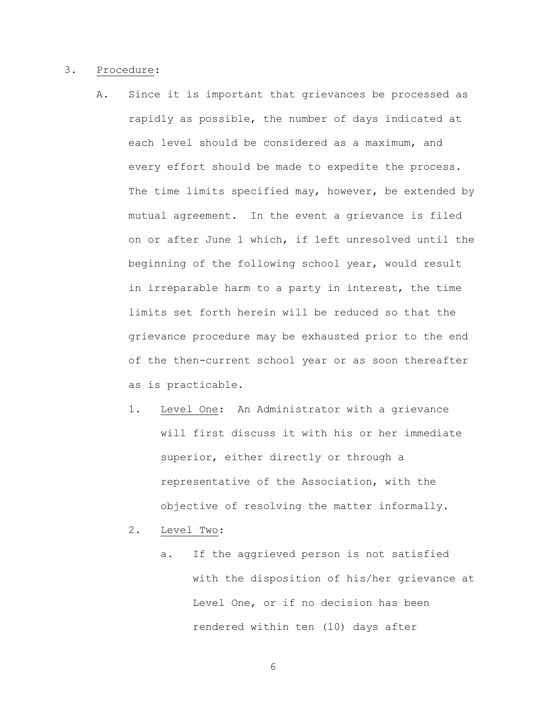# 3. Procedure:

- A. Since it is important that grievances be processed as rapidly as possible, the number of days indicated at each level should be considered as a maximum, and every effort should be made to expedite the process. The time limits specified may, however, be extended by mutual agreement. In the event a grievance is filed on or after June 1 which, if left unresolved until the beginning of the following school year, would result in irreparable harm to a party in interest, the time limits set forth herein will be reduced so that the grievance procedure may be exhausted prior to the end of the then-current school year or as soon thereafter as is practicable.
	- 1. Level One: An Administrator with a grievance will first discuss it with his or her immediate superior, either directly or through a representative of the Association, with the objective of resolving the matter informally.
	- 2. Level Two:
		- a. If the aggrieved person is not satisfied with the disposition of his/her grievance at Level One, or if no decision has been rendered within ten (10) days after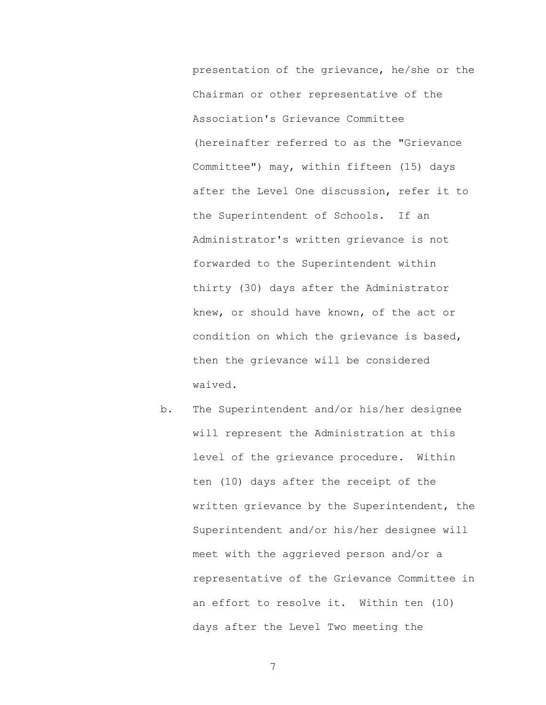presentation of the grievance, he/she or the Chairman or other representative of the Association's Grievance Committee (hereinafter referred to as the "Grievance Committee") may, within fifteen (15) days after the Level One discussion, refer it to the Superintendent of Schools. If an Administrator's written grievance is not forwarded to the Superintendent within thirty (30) days after the Administrator knew, or should have known, of the act or condition on which the grievance is based, then the grievance will be considered waived.

b. The Superintendent and/or his/her designee will represent the Administration at this level of the grievance procedure. Within ten (10) days after the receipt of the written grievance by the Superintendent, the Superintendent and/or his/her designee will meet with the aggrieved person and/or a representative of the Grievance Committee in an effort to resolve it. Within ten (10) days after the Level Two meeting the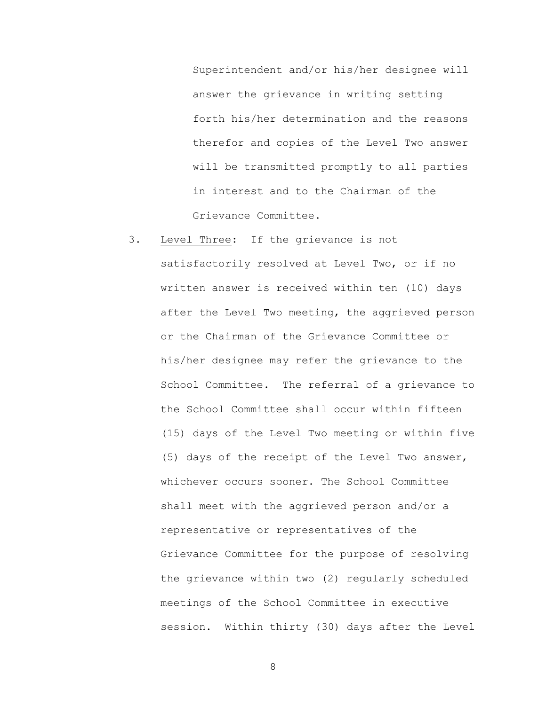Superintendent and/or his/her designee will answer the grievance in writing setting forth his/her determination and the reasons therefor and copies of the Level Two answer will be transmitted promptly to all parties in interest and to the Chairman of the Grievance Committee.

3. Level Three: If the grievance is not satisfactorily resolved at Level Two, or if no written answer is received within ten (10) days after the Level Two meeting, the aggrieved person or the Chairman of the Grievance Committee or his/her designee may refer the grievance to the School Committee. The referral of a grievance to the School Committee shall occur within fifteen (15) days of the Level Two meeting or within five (5) days of the receipt of the Level Two answer, whichever occurs sooner. The School Committee shall meet with the aggrieved person and/or a representative or representatives of the Grievance Committee for the purpose of resolving the grievance within two (2) regularly scheduled meetings of the School Committee in executive session. Within thirty (30) days after the Level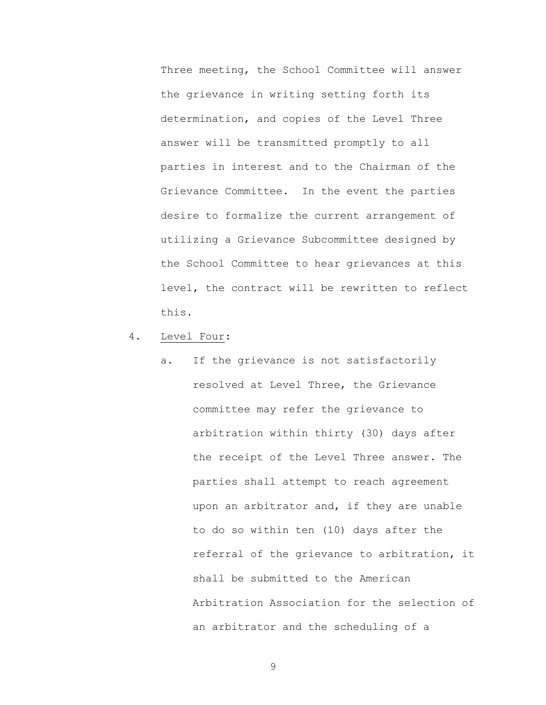Three meeting, the School Committee will answer the grievance in writing setting forth its determination, and copies of the Level Three answer will be transmitted promptly to all parties in interest and to the Chairman of the Grievance Committee. In the event the parties desire to formalize the current arrangement of utilizing a Grievance Subcommittee designed by the School Committee to hear grievances at this level, the contract will be rewritten to reflect this.

- 4. Level Four:
	- a. If the grievance is not satisfactorily resolved at Level Three, the Grievance committee may refer the grievance to arbitration within thirty (30) days after the receipt of the Level Three answer. The parties shall attempt to reach agreement upon an arbitrator and, if they are unable to do so within ten (10) days after the referral of the grievance to arbitration, it shall be submitted to the American Arbitration Association for the selection of an arbitrator and the scheduling of a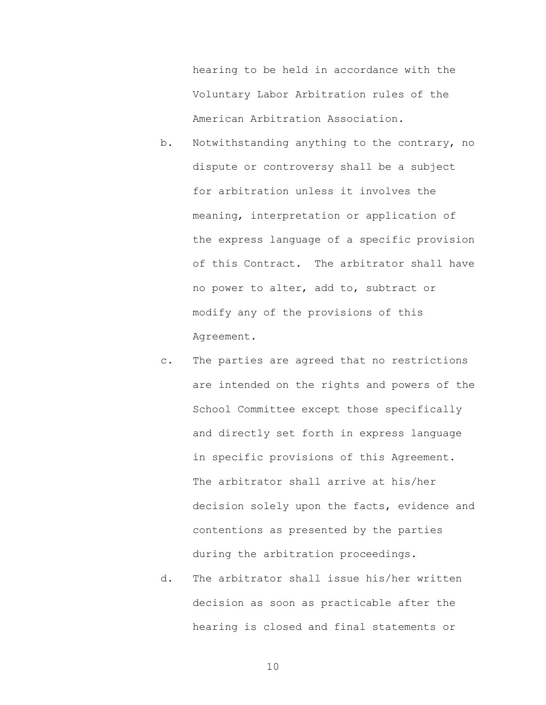hearing to be held in accordance with the Voluntary Labor Arbitration rules of the American Arbitration Association.

- b. Notwithstanding anything to the contrary, no dispute or controversy shall be a subject for arbitration unless it involves the meaning, interpretation or application of the express language of a specific provision of this Contract. The arbitrator shall have no power to alter, add to, subtract or modify any of the provisions of this Agreement.
- c. The parties are agreed that no restrictions are intended on the rights and powers of the School Committee except those specifically and directly set forth in express language in specific provisions of this Agreement. The arbitrator shall arrive at his/her decision solely upon the facts, evidence and contentions as presented by the parties during the arbitration proceedings.
- d. The arbitrator shall issue his/her written decision as soon as practicable after the hearing is closed and final statements or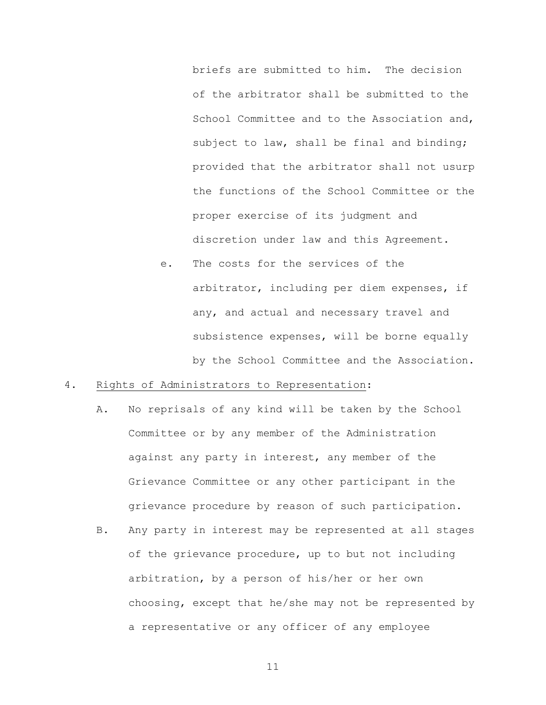briefs are submitted to him. The decision of the arbitrator shall be submitted to the School Committee and to the Association and, subject to law, shall be final and binding; provided that the arbitrator shall not usurp the functions of the School Committee or the proper exercise of its judgment and discretion under law and this Agreement.

e. The costs for the services of the arbitrator, including per diem expenses, if any, and actual and necessary travel and subsistence expenses, will be borne equally by the School Committee and the Association.

# 4. Rights of Administrators to Representation:

- A. No reprisals of any kind will be taken by the School Committee or by any member of the Administration against any party in interest, any member of the Grievance Committee or any other participant in the grievance procedure by reason of such participation.
- B. Any party in interest may be represented at all stages of the grievance procedure, up to but not including arbitration, by a person of his/her or her own choosing, except that he/she may not be represented by a representative or any officer of any employee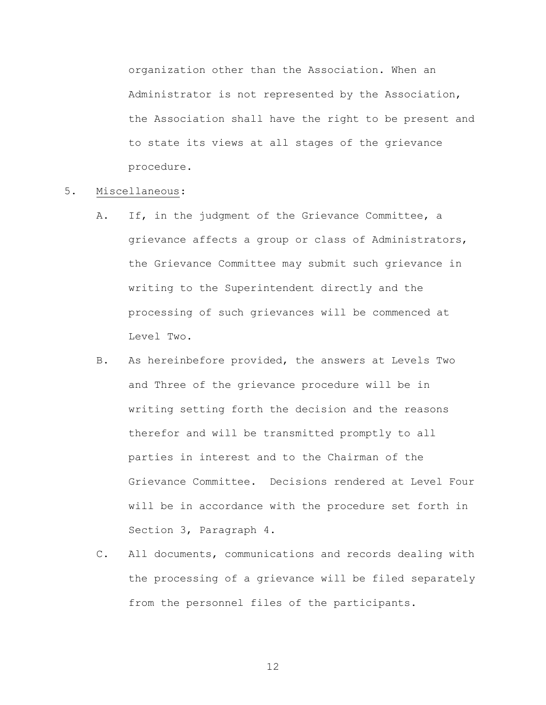organization other than the Association. When an Administrator is not represented by the Association, the Association shall have the right to be present and to state its views at all stages of the grievance procedure.

# 5. Miscellaneous:

- A. If, in the judgment of the Grievance Committee, a grievance affects a group or class of Administrators, the Grievance Committee may submit such grievance in writing to the Superintendent directly and the processing of such grievances will be commenced at Level Two.
- B. As hereinbefore provided, the answers at Levels Two and Three of the grievance procedure will be in writing setting forth the decision and the reasons therefor and will be transmitted promptly to all parties in interest and to the Chairman of the Grievance Committee. Decisions rendered at Level Four will be in accordance with the procedure set forth in Section 3, Paragraph 4.
- C. All documents, communications and records dealing with the processing of a grievance will be filed separately from the personnel files of the participants.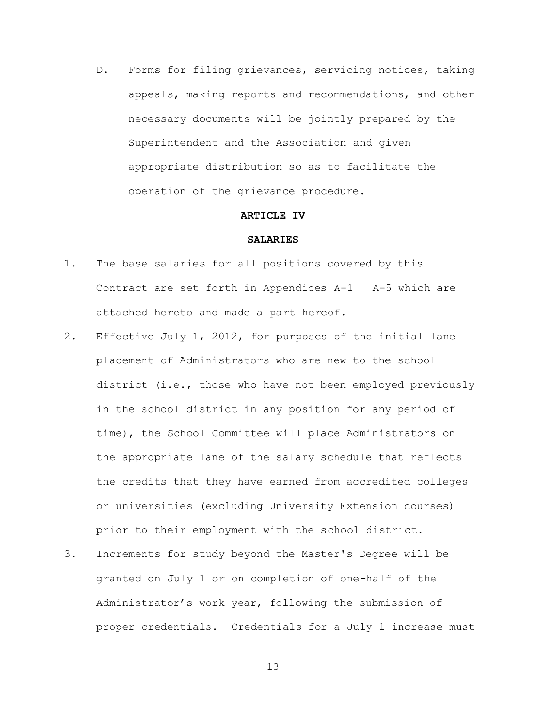D. Forms for filing grievances, servicing notices, taking appeals, making reports and recommendations, and other necessary documents will be jointly prepared by the Superintendent and the Association and given appropriate distribution so as to facilitate the operation of the grievance procedure.

### **ARTICLE IV**

# **SALARIES**

- 1. The base salaries for all positions covered by this Contract are set forth in Appendices A-1 – A-5 which are attached hereto and made a part hereof.
- 2. Effective July 1, 2012, for purposes of the initial lane placement of Administrators who are new to the school district (i.e., those who have not been employed previously in the school district in any position for any period of time), the School Committee will place Administrators on the appropriate lane of the salary schedule that reflects the credits that they have earned from accredited colleges or universities (excluding University Extension courses) prior to their employment with the school district.
- 3. Increments for study beyond the Master's Degree will be granted on July 1 or on completion of one-half of the Administrator's work year, following the submission of proper credentials. Credentials for a July 1 increase must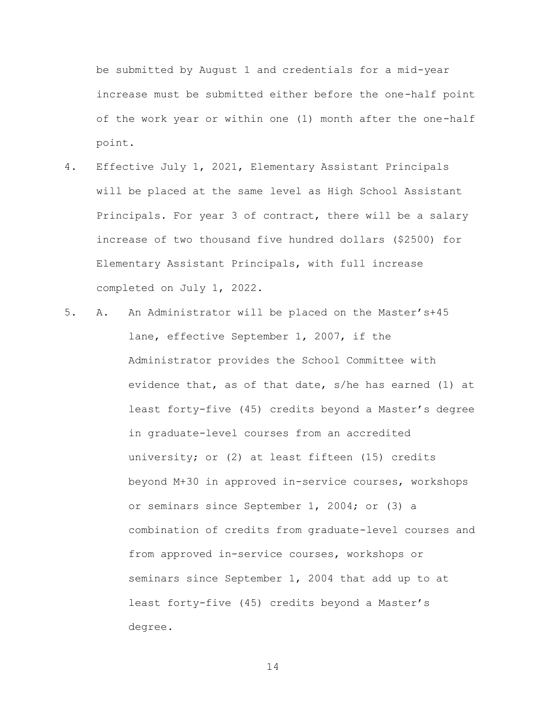be submitted by August 1 and credentials for a mid-year increase must be submitted either before the one-half point of the work year or within one (1) month after the one-half point.

- 4. Effective July 1, 2021, Elementary Assistant Principals will be placed at the same level as High School Assistant Principals. For year 3 of contract, there will be a salary increase of two thousand five hundred dollars (\$2500) for Elementary Assistant Principals, with full increase completed on July 1, 2022.
- 5. A. An Administrator will be placed on the Master's+45 lane, effective September 1, 2007, if the Administrator provides the School Committee with evidence that, as of that date, s/he has earned (1) at least forty-five (45) credits beyond a Master's degree in graduate-level courses from an accredited university; or (2) at least fifteen (15) credits beyond M+30 in approved in-service courses, workshops or seminars since September 1, 2004; or (3) a combination of credits from graduate-level courses and from approved in-service courses, workshops or seminars since September 1, 2004 that add up to at least forty-five (45) credits beyond a Master's degree.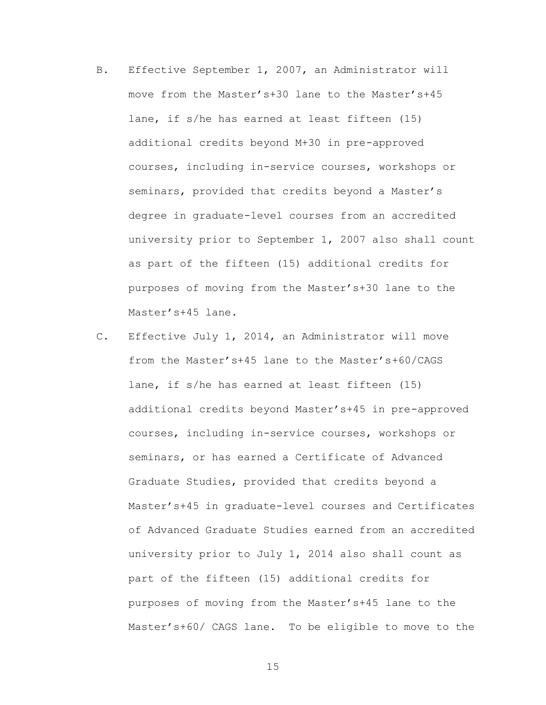- B. Effective September 1, 2007, an Administrator will move from the Master's+30 lane to the Master's+45 lane, if s/he has earned at least fifteen (15) additional credits beyond M+30 in pre-approved courses, including in-service courses, workshops or seminars, provided that credits beyond a Master's degree in graduate-level courses from an accredited university prior to September 1, 2007 also shall count as part of the fifteen (15) additional credits for purposes of moving from the Master's+30 lane to the Master's+45 lane.
- C. Effective July 1, 2014, an Administrator will move from the Master's+45 lane to the Master's+60/CAGS lane, if s/he has earned at least fifteen (15) additional credits beyond Master's+45 in pre-approved courses, including in-service courses, workshops or seminars, or has earned a Certificate of Advanced Graduate Studies, provided that credits beyond a Master's+45 in graduate-level courses and Certificates of Advanced Graduate Studies earned from an accredited university prior to July 1, 2014 also shall count as part of the fifteen (15) additional credits for purposes of moving from the Master's+45 lane to the Master's+60/ CAGS lane. To be eligible to move to the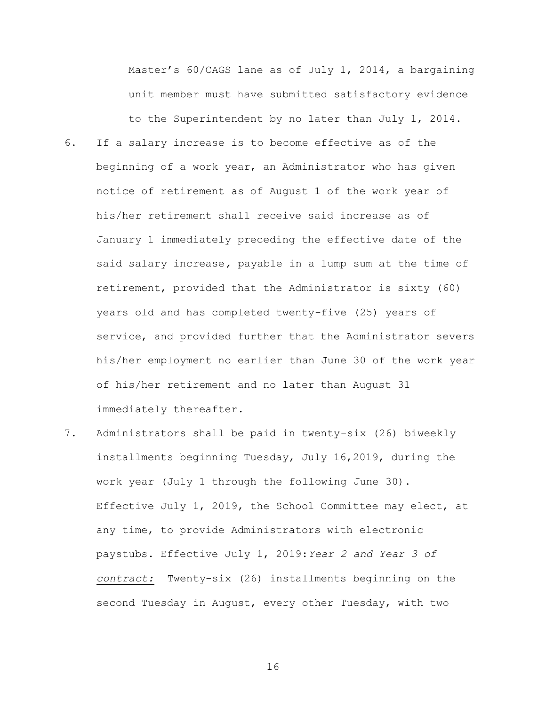Master's 60/CAGS lane as of July 1, 2014, a bargaining unit member must have submitted satisfactory evidence to the Superintendent by no later than July 1, 2014.

- 6. If a salary increase is to become effective as of the beginning of a work year, an Administrator who has given notice of retirement as of August 1 of the work year of his/her retirement shall receive said increase as of January 1 immediately preceding the effective date of the said salary increase*,* payable in a lump sum at the time of retirement, provided that the Administrator is sixty (60) years old and has completed twenty-five (25) years of service, and provided further that the Administrator severs his/her employment no earlier than June 30 of the work year of his/her retirement and no later than August 31 immediately thereafter.
- 7. Administrators shall be paid in twenty-six (26) biweekly installments beginning Tuesday, July 16,2019, during the work year (July 1 through the following June 30). Effective July 1, 2019, the School Committee may elect, at any time, to provide Administrators with electronic paystubs. Effective July 1, 2019:*Year 2 and Year 3 of contract:* Twenty-six (26) installments beginning on the second Tuesday in August, every other Tuesday, with two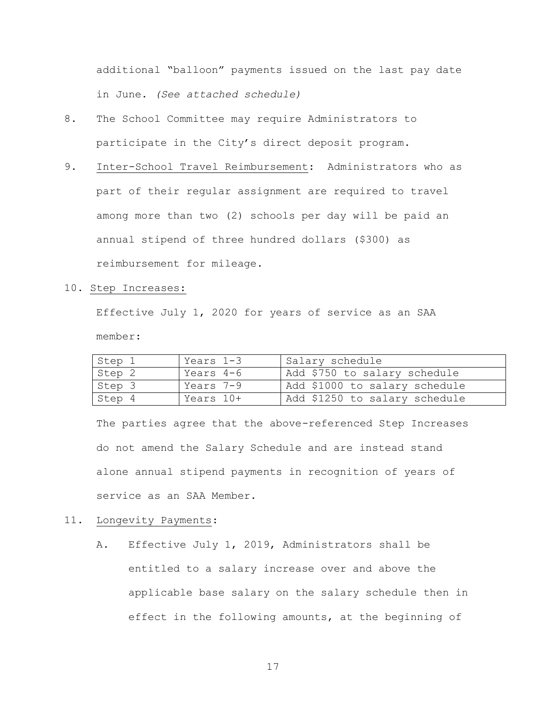additional "balloon" payments issued on the last pay date in June. *(See attached schedule)* 

- 8. The School Committee may require Administrators to participate in the City's direct deposit program.
- 9. Inter-School Travel Reimbursement: Administrators who as part of their regular assignment are required to travel among more than two (2) schools per day will be paid an annual stipend of three hundred dollars (\$300) as reimbursement for mileage.
- 10. Step Increases:

Effective July 1, 2020 for years of service as an SAA member:

| Step 1 | Years 1-3 | Salary schedule               |
|--------|-----------|-------------------------------|
| Step 2 | Years 4-6 | Add \$750 to salary schedule  |
| Step 3 | Years 7-9 | Add \$1000 to salary schedule |
| Step 4 | Years 10+ | Add \$1250 to salary schedule |

The parties agree that the above-referenced Step Increases do not amend the Salary Schedule and are instead stand alone annual stipend payments in recognition of years of service as an SAA Member.

# 11. Longevity Payments:

A. Effective July 1, 2019, Administrators shall be entitled to a salary increase over and above the applicable base salary on the salary schedule then in effect in the following amounts, at the beginning of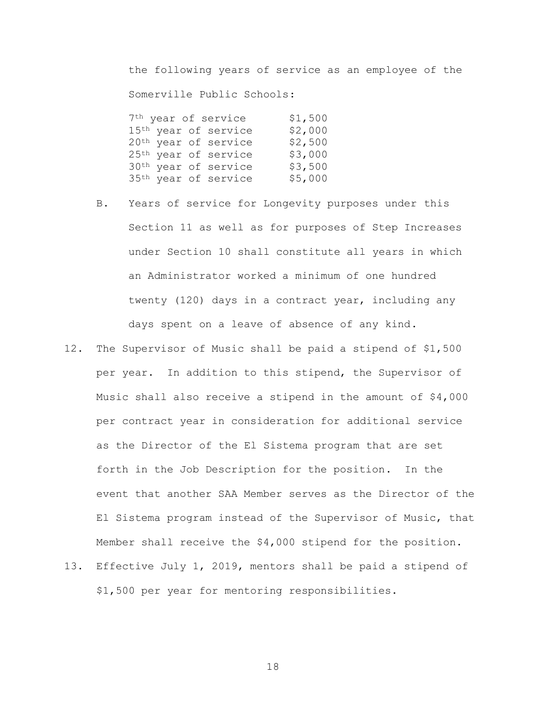the following years of service as an employee of the Somerville Public Schools:

| 7 <sup>th</sup> year of service  | \$1,500 |
|----------------------------------|---------|
| 15 <sup>th</sup> year of service | \$2,000 |
| 20 <sup>th</sup> year of service | \$2,500 |
| 25 <sup>th</sup> year of service | \$3,000 |
| 30 <sup>th</sup> year of service | \$3,500 |
| 35 <sup>th</sup> year of service | \$5,000 |

- B. Years of service for Longevity purposes under this Section 11 as well as for purposes of Step Increases under Section 10 shall constitute all years in which an Administrator worked a minimum of one hundred twenty (120) days in a contract year, including any days spent on a leave of absence of any kind.
- 12. The Supervisor of Music shall be paid a stipend of \$1,500 per year. In addition to this stipend, the Supervisor of Music shall also receive a stipend in the amount of \$4,000 per contract year in consideration for additional service as the Director of the El Sistema program that are set forth in the Job Description for the position. In the event that another SAA Member serves as the Director of the El Sistema program instead of the Supervisor of Music, that Member shall receive the \$4,000 stipend for the position.
- 13. Effective July 1, 2019, mentors shall be paid a stipend of \$1,500 per year for mentoring responsibilities.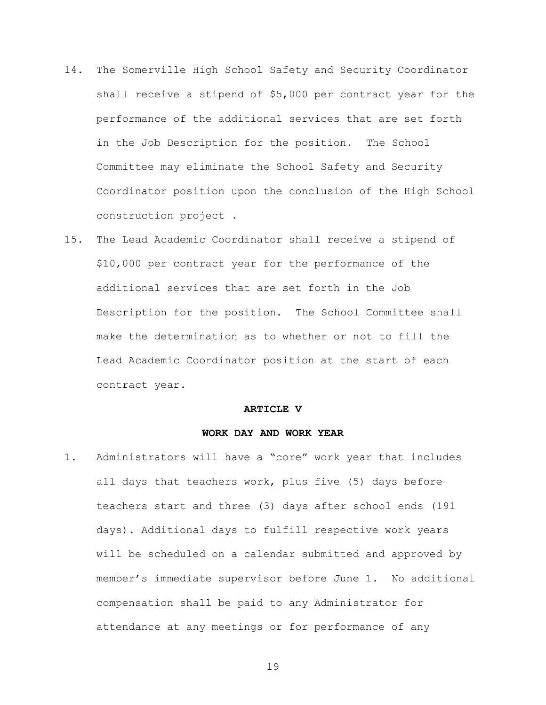- 14. The Somerville High School Safety and Security Coordinator shall receive a stipend of \$5,000 per contract year for the performance of the additional services that are set forth in the Job Description for the position. The School Committee may eliminate the School Safety and Security Coordinator position upon the conclusion of the High School construction project .
- 15. The Lead Academic Coordinator shall receive a stipend of \$10,000 per contract year for the performance of the additional services that are set forth in the Job Description for the position. The School Committee shall make the determination as to whether or not to fill the Lead Academic Coordinator position at the start of each contract year.

#### **ARTICLE V**

### **WORK DAY AND WORK YEAR**

1. Administrators will have a "core" work year that includes all days that teachers work, plus five (5) days before teachers start and three (3) days after school ends (191 days). Additional days to fulfill respective work years will be scheduled on a calendar submitted and approved by member's immediate supervisor before June 1. No additional compensation shall be paid to any Administrator for attendance at any meetings or for performance of any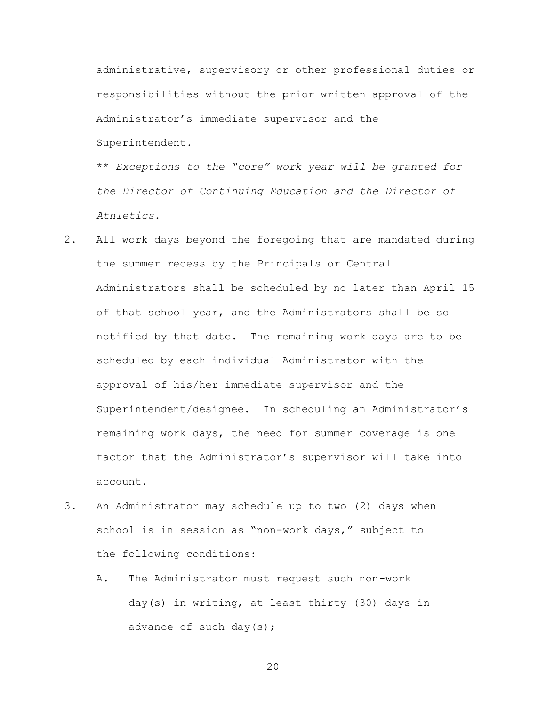administrative, supervisory or other professional duties or responsibilities without the prior written approval of the Administrator's immediate supervisor and the Superintendent.

\*\* *Exceptions to the "core" work year will be granted for the Director of Continuing Education and the Director of Athletics.*

- 2. All work days beyond the foregoing that are mandated during the summer recess by the Principals or Central Administrators shall be scheduled by no later than April 15 of that school year, and the Administrators shall be so notified by that date. The remaining work days are to be scheduled by each individual Administrator with the approval of his/her immediate supervisor and the Superintendent/designee. In scheduling an Administrator's remaining work days, the need for summer coverage is one factor that the Administrator's supervisor will take into account.
- 3. An Administrator may schedule up to two (2) days when school is in session as "non-work days," subject to the following conditions:
	- A. The Administrator must request such non-work day(s) in writing, at least thirty (30) days in advance of such day(s);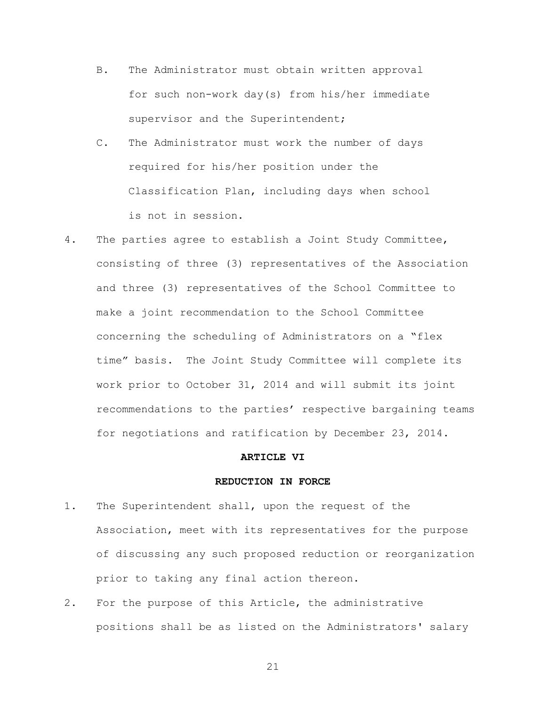- B. The Administrator must obtain written approval for such non-work day(s) from his/her immediate supervisor and the Superintendent;
- C. The Administrator must work the number of days required for his/her position under the Classification Plan, including days when school is not in session.
- 4. The parties agree to establish a Joint Study Committee, consisting of three (3) representatives of the Association and three (3) representatives of the School Committee to make a joint recommendation to the School Committee concerning the scheduling of Administrators on a "flex time" basis. The Joint Study Committee will complete its work prior to October 31, 2014 and will submit its joint recommendations to the parties' respective bargaining teams for negotiations and ratification by December 23, 2014.

# **ARTICLE VI**

# **REDUCTION IN FORCE**

- 1. The Superintendent shall, upon the request of the Association, meet with its representatives for the purpose of discussing any such proposed reduction or reorganization prior to taking any final action thereon.
- 2. For the purpose of this Article, the administrative positions shall be as listed on the Administrators' salary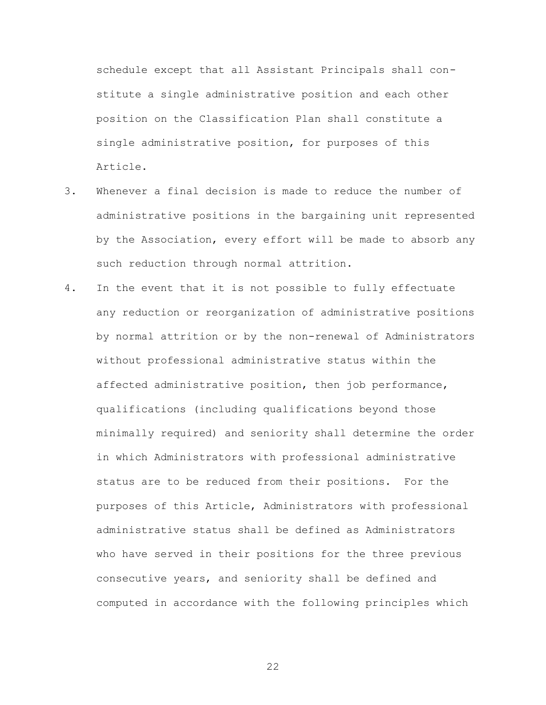schedule except that all Assistant Principals shall constitute a single administrative position and each other position on the Classification Plan shall constitute a single administrative position, for purposes of this Article.

- 3. Whenever a final decision is made to reduce the number of administrative positions in the bargaining unit represented by the Association, every effort will be made to absorb any such reduction through normal attrition.
- 4. In the event that it is not possible to fully effectuate any reduction or reorganization of administrative positions by normal attrition or by the non-renewal of Administrators without professional administrative status within the affected administrative position, then job performance, qualifications (including qualifications beyond those minimally required) and seniority shall determine the order in which Administrators with professional administrative status are to be reduced from their positions. For the purposes of this Article, Administrators with professional administrative status shall be defined as Administrators who have served in their positions for the three previous consecutive years, and seniority shall be defined and computed in accordance with the following principles which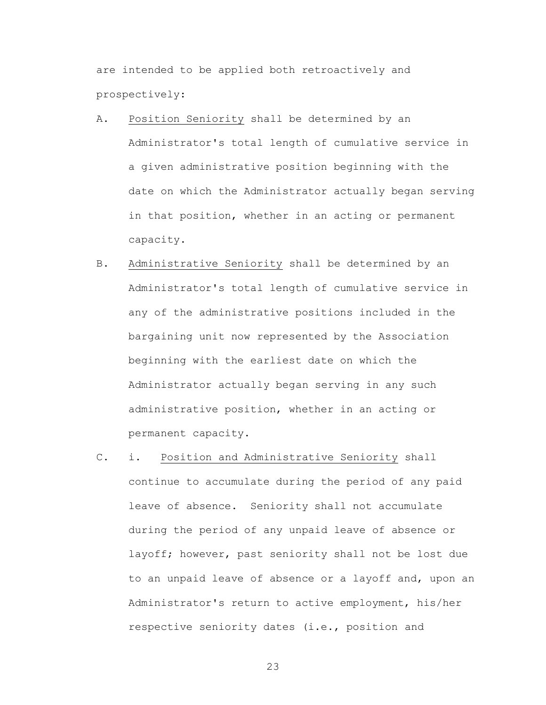are intended to be applied both retroactively and prospectively:

- A. Position Seniority shall be determined by an Administrator's total length of cumulative service in a given administrative position beginning with the date on which the Administrator actually began serving in that position, whether in an acting or permanent capacity.
- B. Administrative Seniority shall be determined by an Administrator's total length of cumulative service in any of the administrative positions included in the bargaining unit now represented by the Association beginning with the earliest date on which the Administrator actually began serving in any such administrative position, whether in an acting or permanent capacity.
- C. i. Position and Administrative Seniority shall continue to accumulate during the period of any paid leave of absence. Seniority shall not accumulate during the period of any unpaid leave of absence or layoff; however, past seniority shall not be lost due to an unpaid leave of absence or a layoff and, upon an Administrator's return to active employment, his/her respective seniority dates (i.e., position and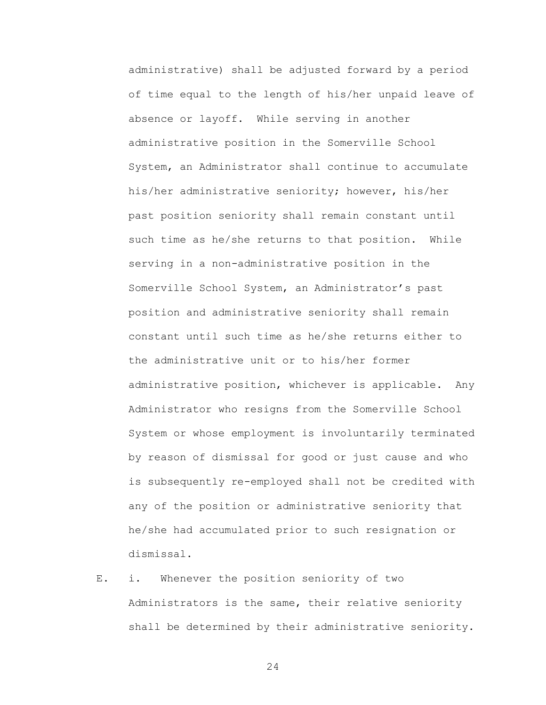administrative) shall be adjusted forward by a period of time equal to the length of his/her unpaid leave of absence or layoff. While serving in another administrative position in the Somerville School System, an Administrator shall continue to accumulate his/her administrative seniority; however, his/her past position seniority shall remain constant until such time as he/she returns to that position. While serving in a non-administrative position in the Somerville School System, an Administrator's past position and administrative seniority shall remain constant until such time as he/she returns either to the administrative unit or to his/her former administrative position, whichever is applicable. Any Administrator who resigns from the Somerville School System or whose employment is involuntarily terminated by reason of dismissal for good or just cause and who is subsequently re-employed shall not be credited with any of the position or administrative seniority that he/she had accumulated prior to such resignation or dismissal.

E. i. Whenever the position seniority of two Administrators is the same, their relative seniority shall be determined by their administrative seniority.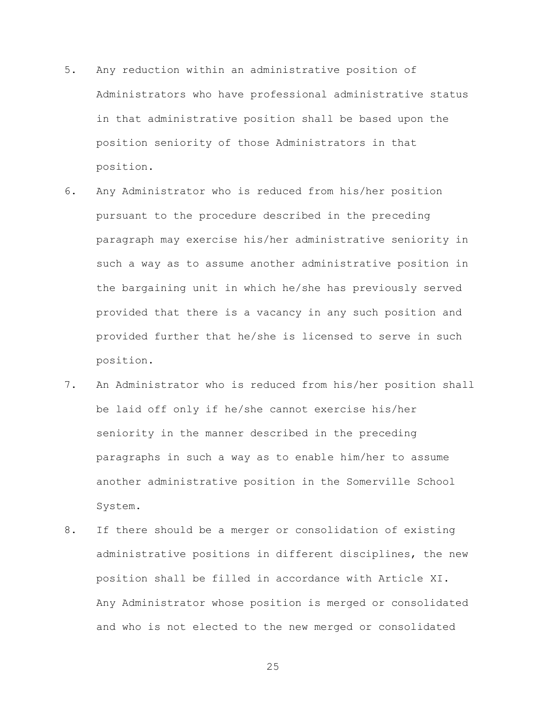- 5. Any reduction within an administrative position of Administrators who have professional administrative status in that administrative position shall be based upon the position seniority of those Administrators in that position.
- 6. Any Administrator who is reduced from his/her position pursuant to the procedure described in the preceding paragraph may exercise his/her administrative seniority in such a way as to assume another administrative position in the bargaining unit in which he/she has previously served provided that there is a vacancy in any such position and provided further that he/she is licensed to serve in such position.
- 7. An Administrator who is reduced from his/her position shall be laid off only if he/she cannot exercise his/her seniority in the manner described in the preceding paragraphs in such a way as to enable him/her to assume another administrative position in the Somerville School System.
- 8. If there should be a merger or consolidation of existing administrative positions in different disciplines, the new position shall be filled in accordance with Article XI. Any Administrator whose position is merged or consolidated and who is not elected to the new merged or consolidated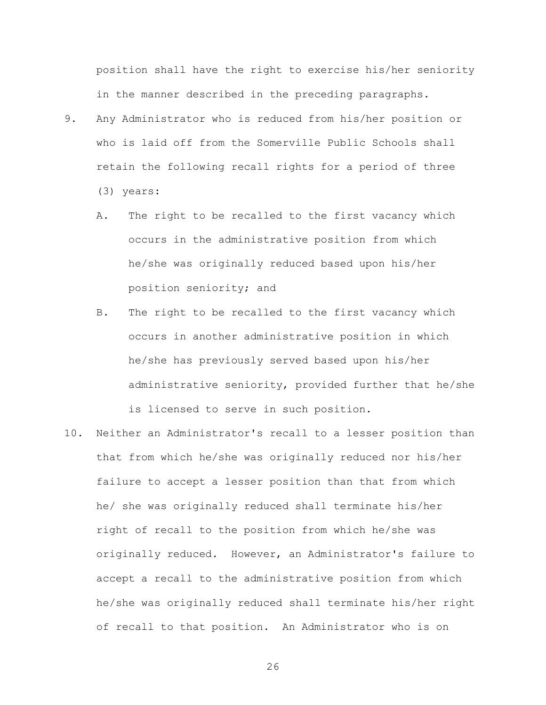position shall have the right to exercise his/her seniority in the manner described in the preceding paragraphs.

- 9. Any Administrator who is reduced from his/her position or who is laid off from the Somerville Public Schools shall retain the following recall rights for a period of three (3) years:
	- A. The right to be recalled to the first vacancy which occurs in the administrative position from which he/she was originally reduced based upon his/her position seniority; and
	- B. The right to be recalled to the first vacancy which occurs in another administrative position in which he/she has previously served based upon his/her administrative seniority, provided further that he/she is licensed to serve in such position.
- 10. Neither an Administrator's recall to a lesser position than that from which he/she was originally reduced nor his/her failure to accept a lesser position than that from which he/ she was originally reduced shall terminate his/her right of recall to the position from which he/she was originally reduced. However, an Administrator's failure to accept a recall to the administrative position from which he/she was originally reduced shall terminate his/her right of recall to that position. An Administrator who is on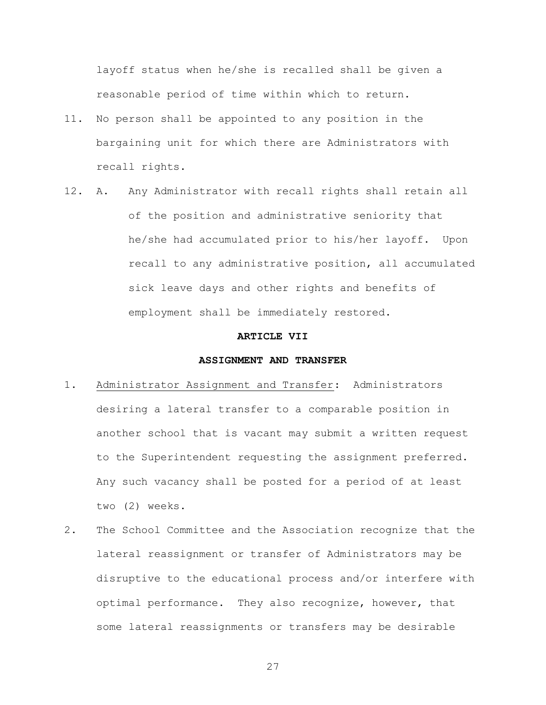layoff status when he/she is recalled shall be given a reasonable period of time within which to return.

- 11. No person shall be appointed to any position in the bargaining unit for which there are Administrators with recall rights.
- 12. A. Any Administrator with recall rights shall retain all of the position and administrative seniority that he/she had accumulated prior to his/her layoff. Upon recall to any administrative position, all accumulated sick leave days and other rights and benefits of employment shall be immediately restored.

#### **ARTICLE VII**

# **ASSIGNMENT AND TRANSFER**

- 1. Administrator Assignment and Transfer: Administrators desiring a lateral transfer to a comparable position in another school that is vacant may submit a written request to the Superintendent requesting the assignment preferred. Any such vacancy shall be posted for a period of at least two (2) weeks.
- 2. The School Committee and the Association recognize that the lateral reassignment or transfer of Administrators may be disruptive to the educational process and/or interfere with optimal performance. They also recognize, however, that some lateral reassignments or transfers may be desirable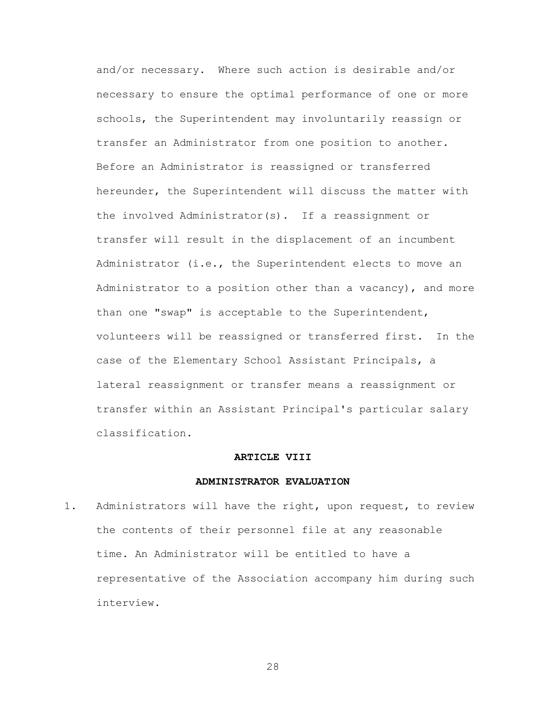and/or necessary. Where such action is desirable and/or necessary to ensure the optimal performance of one or more schools, the Superintendent may involuntarily reassign or transfer an Administrator from one position to another. Before an Administrator is reassigned or transferred hereunder, the Superintendent will discuss the matter with the involved Administrator(s). If a reassignment or transfer will result in the displacement of an incumbent Administrator (i.e., the Superintendent elects to move an Administrator to a position other than a vacancy), and more than one "swap" is acceptable to the Superintendent, volunteers will be reassigned or transferred first. In the case of the Elementary School Assistant Principals, a lateral reassignment or transfer means a reassignment or transfer within an Assistant Principal's particular salary classification.

# **ARTICLE VIII**

#### **ADMINISTRATOR EVALUATION**

1. Administrators will have the right, upon request, to review the contents of their personnel file at any reasonable time. An Administrator will be entitled to have a representative of the Association accompany him during such interview.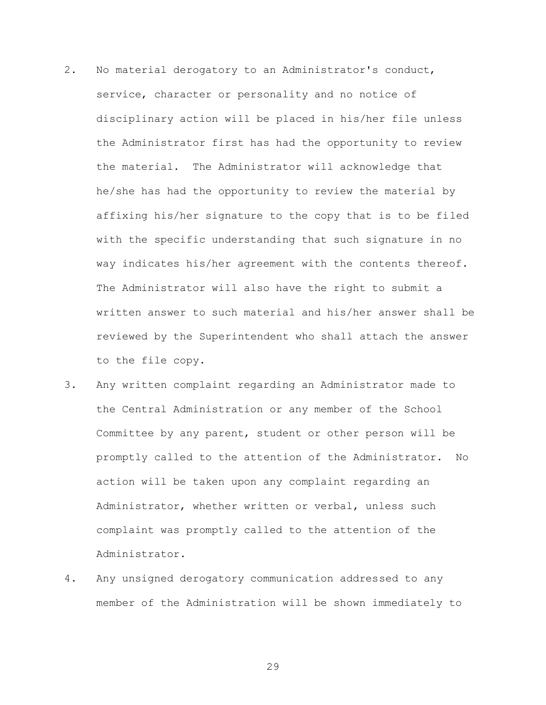- 2. No material derogatory to an Administrator's conduct, service, character or personality and no notice of disciplinary action will be placed in his/her file unless the Administrator first has had the opportunity to review the material. The Administrator will acknowledge that he/she has had the opportunity to review the material by affixing his/her signature to the copy that is to be filed with the specific understanding that such signature in no way indicates his/her agreement with the contents thereof. The Administrator will also have the right to submit a written answer to such material and his/her answer shall be reviewed by the Superintendent who shall attach the answer to the file copy.
- 3. Any written complaint regarding an Administrator made to the Central Administration or any member of the School Committee by any parent, student or other person will be promptly called to the attention of the Administrator. No action will be taken upon any complaint regarding an Administrator, whether written or verbal, unless such complaint was promptly called to the attention of the Administrator.
- 4. Any unsigned derogatory communication addressed to any member of the Administration will be shown immediately to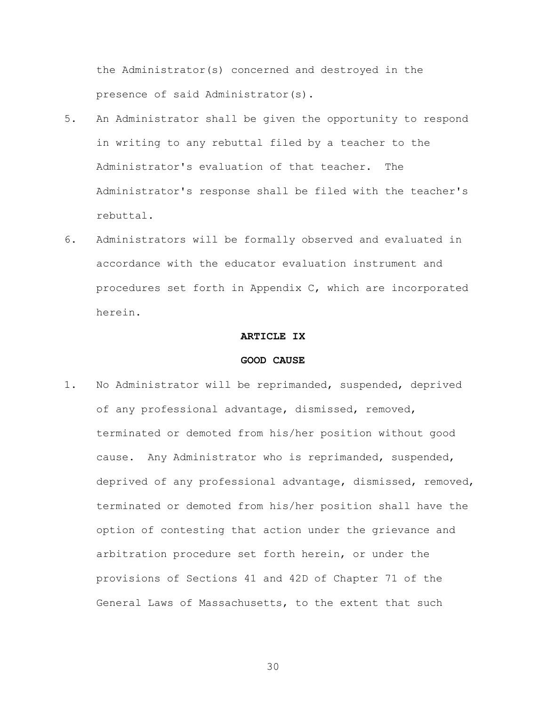the Administrator(s) concerned and destroyed in the presence of said Administrator(s).

- 5. An Administrator shall be given the opportunity to respond in writing to any rebuttal filed by a teacher to the Administrator's evaluation of that teacher. The Administrator's response shall be filed with the teacher's rebuttal.
- 6. Administrators will be formally observed and evaluated in accordance with the educator evaluation instrument and procedures set forth in Appendix C, which are incorporated herein.

#### **ARTICLE IX**

# **GOOD CAUSE**

1. No Administrator will be reprimanded, suspended, deprived of any professional advantage, dismissed, removed, terminated or demoted from his/her position without good cause. Any Administrator who is reprimanded, suspended, deprived of any professional advantage, dismissed, removed, terminated or demoted from his/her position shall have the option of contesting that action under the grievance and arbitration procedure set forth herein, or under the provisions of Sections 41 and 42D of Chapter 71 of the General Laws of Massachusetts, to the extent that such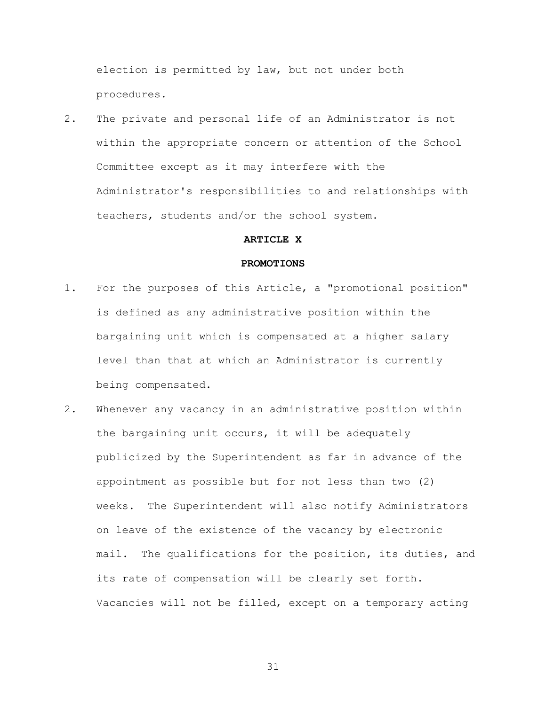election is permitted by law, but not under both procedures.

2. The private and personal life of an Administrator is not within the appropriate concern or attention of the School Committee except as it may interfere with the Administrator's responsibilities to and relationships with teachers, students and/or the school system.

#### **ARTICLE X**

#### **PROMOTIONS**

- 1. For the purposes of this Article, a "promotional position" is defined as any administrative position within the bargaining unit which is compensated at a higher salary level than that at which an Administrator is currently being compensated.
- 2. Whenever any vacancy in an administrative position within the bargaining unit occurs, it will be adequately publicized by the Superintendent as far in advance of the appointment as possible but for not less than two (2) weeks. The Superintendent will also notify Administrators on leave of the existence of the vacancy by electronic mail. The qualifications for the position, its duties, and its rate of compensation will be clearly set forth. Vacancies will not be filled, except on a temporary acting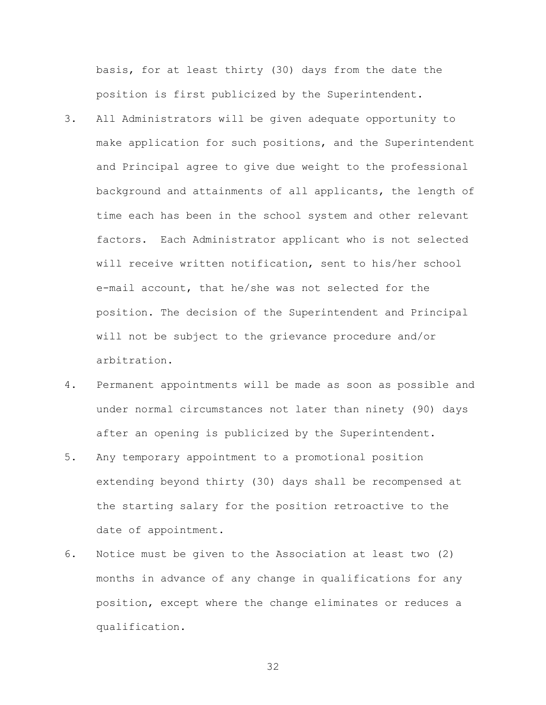basis, for at least thirty (30) days from the date the position is first publicized by the Superintendent.

- 3. All Administrators will be given adequate opportunity to make application for such positions, and the Superintendent and Principal agree to give due weight to the professional background and attainments of all applicants, the length of time each has been in the school system and other relevant factors. Each Administrator applicant who is not selected will receive written notification, sent to his/her school e-mail account, that he/she was not selected for the position. The decision of the Superintendent and Principal will not be subject to the grievance procedure and/or arbitration.
- 4. Permanent appointments will be made as soon as possible and under normal circumstances not later than ninety (90) days after an opening is publicized by the Superintendent.
- 5. Any temporary appointment to a promotional position extending beyond thirty (30) days shall be recompensed at the starting salary for the position retroactive to the date of appointment.
- 6. Notice must be given to the Association at least two (2) months in advance of any change in qualifications for any position, except where the change eliminates or reduces a qualification.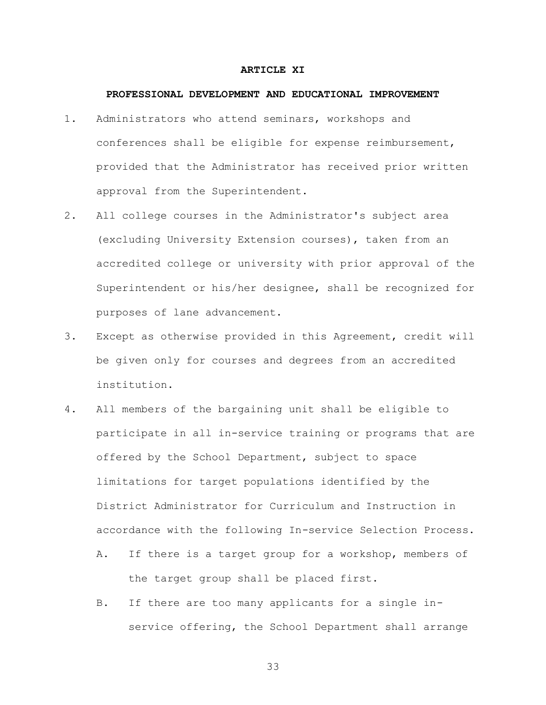#### **ARTICLE XI**

#### **PROFESSIONAL DEVELOPMENT AND EDUCATIONAL IMPROVEMENT**

- 1. Administrators who attend seminars, workshops and conferences shall be eligible for expense reimbursement, provided that the Administrator has received prior written approval from the Superintendent.
- 2. All college courses in the Administrator's subject area (excluding University Extension courses), taken from an accredited college or university with prior approval of the Superintendent or his/her designee, shall be recognized for purposes of lane advancement.
- 3. Except as otherwise provided in this Agreement, credit will be given only for courses and degrees from an accredited institution.
- 4. All members of the bargaining unit shall be eligible to participate in all in-service training or programs that are offered by the School Department, subject to space limitations for target populations identified by the District Administrator for Curriculum and Instruction in accordance with the following In-service Selection Process.
	- A. If there is a target group for a workshop, members of the target group shall be placed first.
	- B. If there are too many applicants for a single inservice offering, the School Department shall arrange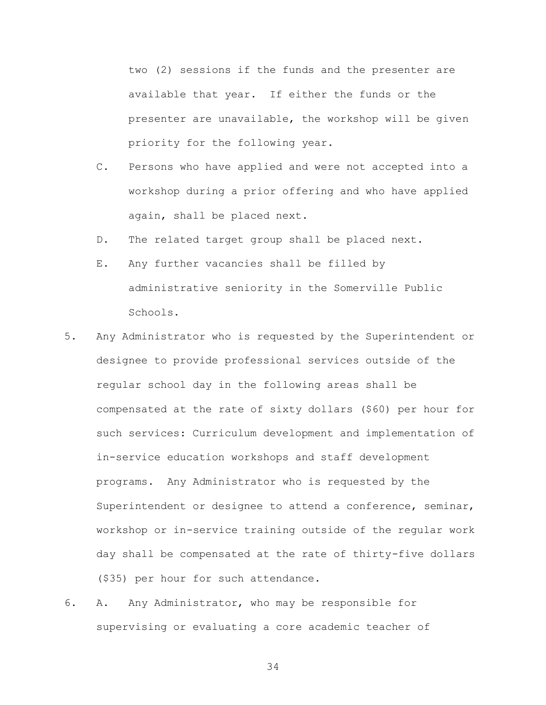two (2) sessions if the funds and the presenter are available that year. If either the funds or the presenter are unavailable, the workshop will be given priority for the following year.

- C. Persons who have applied and were not accepted into a workshop during a prior offering and who have applied again, shall be placed next.
- D. The related target group shall be placed next.
- E. Any further vacancies shall be filled by administrative seniority in the Somerville Public Schools.
- 5. Any Administrator who is requested by the Superintendent or designee to provide professional services outside of the regular school day in the following areas shall be compensated at the rate of sixty dollars (\$60) per hour for such services: Curriculum development and implementation of in-service education workshops and staff development programs. Any Administrator who is requested by the Superintendent or designee to attend a conference, seminar, workshop or in-service training outside of the regular work day shall be compensated at the rate of thirty-five dollars (\$35) per hour for such attendance.
- 6. A. Any Administrator, who may be responsible for supervising or evaluating a core academic teacher of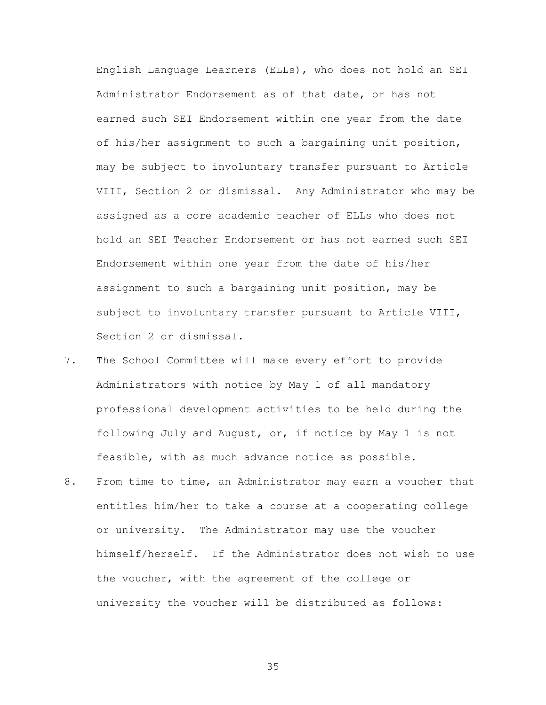English Language Learners (ELLs), who does not hold an SEI Administrator Endorsement as of that date, or has not earned such SEI Endorsement within one year from the date of his/her assignment to such a bargaining unit position, may be subject to involuntary transfer pursuant to Article VIII, Section 2 or dismissal. Any Administrator who may be assigned as a core academic teacher of ELLs who does not hold an SEI Teacher Endorsement or has not earned such SEI Endorsement within one year from the date of his/her assignment to such a bargaining unit position, may be subject to involuntary transfer pursuant to Article VIII, Section 2 or dismissal.

- 7. The School Committee will make every effort to provide Administrators with notice by May 1 of all mandatory professional development activities to be held during the following July and August, or, if notice by May 1 is not feasible, with as much advance notice as possible.
- 8. From time to time, an Administrator may earn a voucher that entitles him/her to take a course at a cooperating college or university. The Administrator may use the voucher himself/herself. If the Administrator does not wish to use the voucher, with the agreement of the college or university the voucher will be distributed as follows: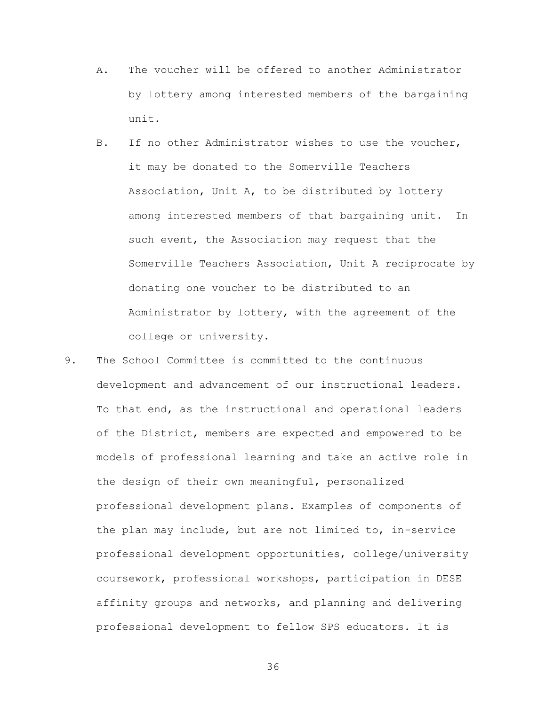- A. The voucher will be offered to another Administrator by lottery among interested members of the bargaining unit.
- B. If no other Administrator wishes to use the voucher, it may be donated to the Somerville Teachers Association, Unit A, to be distributed by lottery among interested members of that bargaining unit. In such event, the Association may request that the Somerville Teachers Association, Unit A reciprocate by donating one voucher to be distributed to an Administrator by lottery, with the agreement of the college or university.
- 9. The School Committee is committed to the continuous development and advancement of our instructional leaders. To that end, as the instructional and operational leaders of the District, members are expected and empowered to be models of professional learning and take an active role in the design of their own meaningful, personalized professional development plans. Examples of components of the plan may include, but are not limited to, in-service professional development opportunities, college/university coursework, professional workshops, participation in DESE affinity groups and networks, and planning and delivering professional development to fellow SPS educators. It is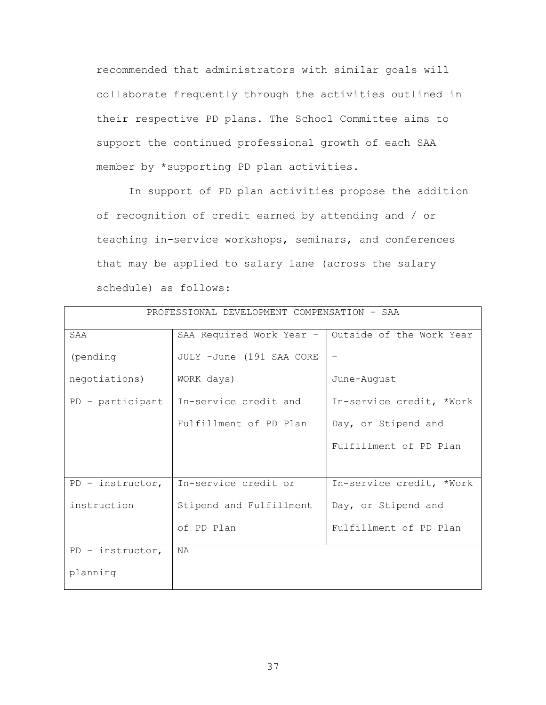recommended that administrators with similar goals will collaborate frequently through the activities outlined in their respective PD plans. The School Committee aims to support the continued professional growth of each SAA member by \*supporting PD plan activities.

In support of PD plan activities propose the addition of recognition of credit earned by attending and / or teaching in-service workshops, seminars, and conferences that may be applied to salary lane (across the salary schedule) as follows:

| PROFESSIONAL DEVELOPMENT COMPENSATION - SAA |                          |                          |  |
|---------------------------------------------|--------------------------|--------------------------|--|
| SAA                                         | SAA Required Work Year - | Outside of the Work Year |  |
| (pending                                    | JULY -June (191 SAA CORE | $\qquad \qquad -$        |  |
| negotiations)                               | WORK days)               | June-August              |  |
| PD - participant                            | In-service credit and    | In-service credit, *Work |  |
|                                             | Fulfillment of PD Plan   | Day, or Stipend and      |  |
|                                             |                          | Fulfillment of PD Plan   |  |
|                                             |                          |                          |  |
| $PD - instructor,$                          | In-service credit or     | In-service credit, *Work |  |
| instruction                                 | Stipend and Fulfillment  | Day, or Stipend and      |  |
|                                             | of PD Plan               | Fulfillment of PD Plan   |  |
| $PD - instructor,$                          | <b>NA</b>                |                          |  |
| planning                                    |                          |                          |  |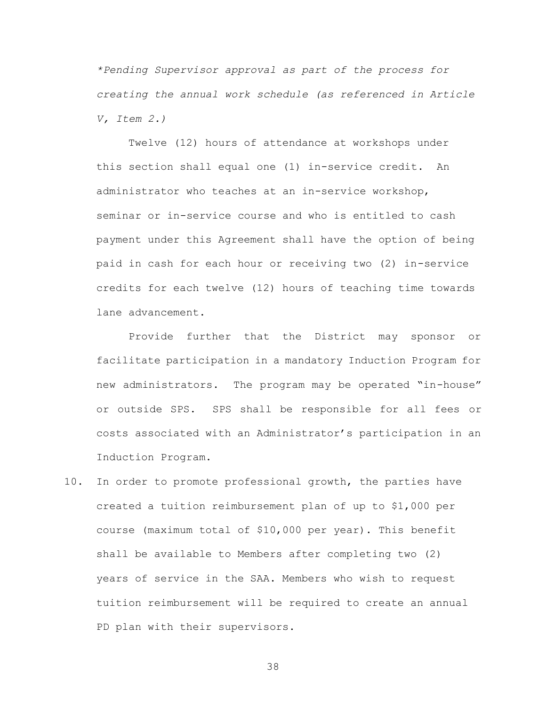*\*Pending Supervisor approval as part of the process for creating the annual work schedule (as referenced in Article V, Item 2.)* 

Twelve (12) hours of attendance at workshops under this section shall equal one (1) in-service credit. An administrator who teaches at an in-service workshop, seminar or in-service course and who is entitled to cash payment under this Agreement shall have the option of being paid in cash for each hour or receiving two (2) in-service credits for each twelve (12) hours of teaching time towards lane advancement.

Provide further that the District may sponsor or facilitate participation in a mandatory Induction Program for new administrators. The program may be operated "in-house" or outside SPS. SPS shall be responsible for all fees or costs associated with an Administrator's participation in an Induction Program.

10. In order to promote professional growth, the parties have created a tuition reimbursement plan of up to \$1,000 per course (maximum total of \$10,000 per year). This benefit shall be available to Members after completing two (2) years of service in the SAA. Members who wish to request tuition reimbursement will be required to create an annual PD plan with their supervisors.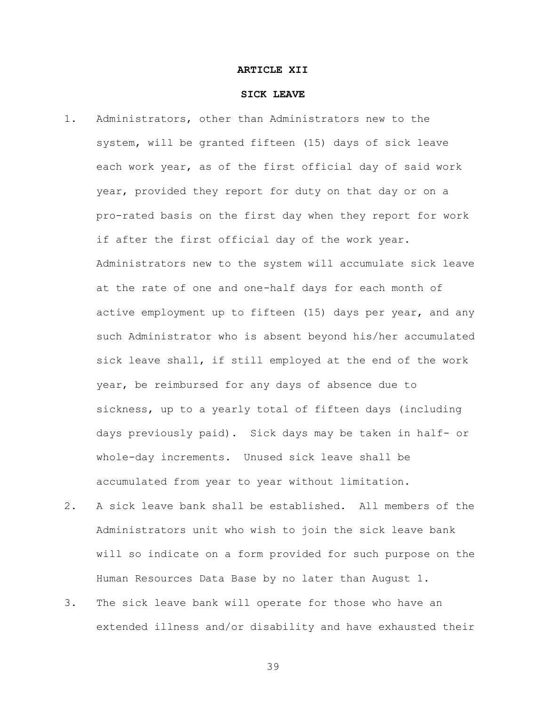#### **ARTICLE XII**

#### **SICK LEAVE**

- 1. Administrators, other than Administrators new to the system, will be granted fifteen (15) days of sick leave each work year, as of the first official day of said work year, provided they report for duty on that day or on a pro-rated basis on the first day when they report for work if after the first official day of the work year. Administrators new to the system will accumulate sick leave at the rate of one and one-half days for each month of active employment up to fifteen (15) days per year, and any such Administrator who is absent beyond his/her accumulated sick leave shall, if still employed at the end of the work year, be reimbursed for any days of absence due to sickness, up to a yearly total of fifteen days (including days previously paid). Sick days may be taken in half- or whole-day increments. Unused sick leave shall be accumulated from year to year without limitation.
- 2. A sick leave bank shall be established. All members of the Administrators unit who wish to join the sick leave bank will so indicate on a form provided for such purpose on the Human Resources Data Base by no later than August 1.
- 3. The sick leave bank will operate for those who have an extended illness and/or disability and have exhausted their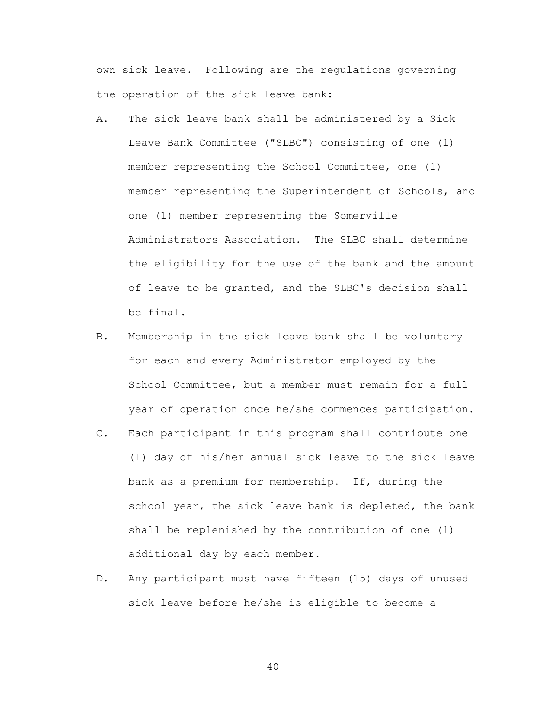own sick leave. Following are the regulations governing the operation of the sick leave bank:

- A. The sick leave bank shall be administered by a Sick Leave Bank Committee ("SLBC") consisting of one (1) member representing the School Committee, one (1) member representing the Superintendent of Schools, and one (1) member representing the Somerville Administrators Association. The SLBC shall determine the eligibility for the use of the bank and the amount of leave to be granted, and the SLBC's decision shall be final.
- B. Membership in the sick leave bank shall be voluntary for each and every Administrator employed by the School Committee, but a member must remain for a full year of operation once he/she commences participation.
- C. Each participant in this program shall contribute one (1) day of his/her annual sick leave to the sick leave bank as a premium for membership. If, during the school year, the sick leave bank is depleted, the bank shall be replenished by the contribution of one (1) additional day by each member.
- D. Any participant must have fifteen (15) days of unused sick leave before he/she is eligible to become a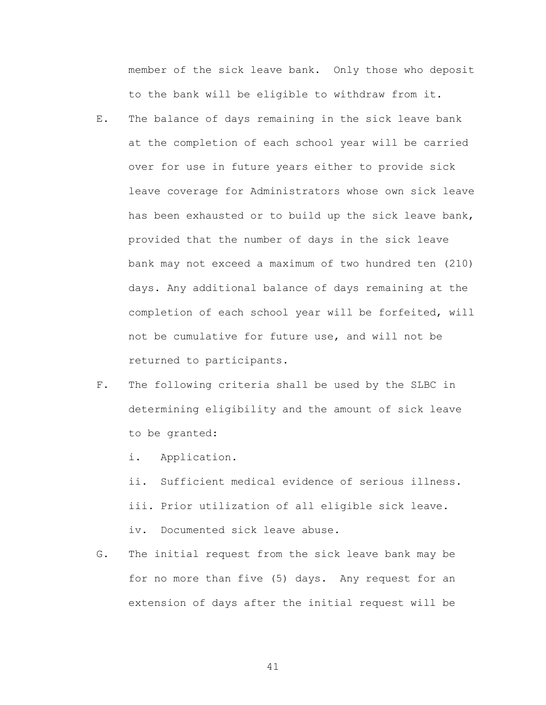member of the sick leave bank. Only those who deposit to the bank will be eligible to withdraw from it.

- E. The balance of days remaining in the sick leave bank at the completion of each school year will be carried over for use in future years either to provide sick leave coverage for Administrators whose own sick leave has been exhausted or to build up the sick leave bank, provided that the number of days in the sick leave bank may not exceed a maximum of two hundred ten (210) days. Any additional balance of days remaining at the completion of each school year will be forfeited, will not be cumulative for future use, and will not be returned to participants.
- F. The following criteria shall be used by the SLBC in determining eligibility and the amount of sick leave to be granted:
	- i. Application.
	- ii. Sufficient medical evidence of serious illness. iii. Prior utilization of all eligible sick leave. iv. Documented sick leave abuse.
- G. The initial request from the sick leave bank may be for no more than five (5) days. Any request for an extension of days after the initial request will be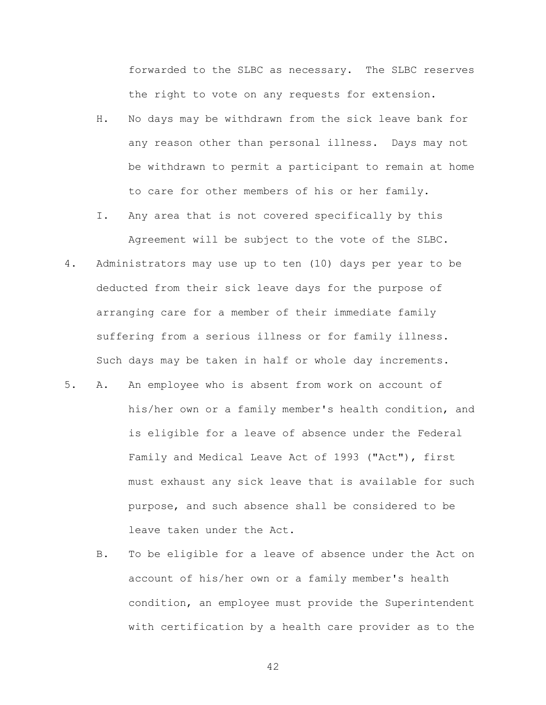forwarded to the SLBC as necessary. The SLBC reserves the right to vote on any requests for extension.

- H. No days may be withdrawn from the sick leave bank for any reason other than personal illness. Days may not be withdrawn to permit a participant to remain at home to care for other members of his or her family.
- I. Any area that is not covered specifically by this Agreement will be subject to the vote of the SLBC.
- 4. Administrators may use up to ten (10) days per year to be deducted from their sick leave days for the purpose of arranging care for a member of their immediate family suffering from a serious illness or for family illness. Such days may be taken in half or whole day increments.
- 5. A. An employee who is absent from work on account of his/her own or a family member's health condition, and is eligible for a leave of absence under the Federal Family and Medical Leave Act of 1993 ("Act"), first must exhaust any sick leave that is available for such purpose, and such absence shall be considered to be leave taken under the Act.
	- B. To be eligible for a leave of absence under the Act on account of his/her own or a family member's health condition, an employee must provide the Superintendent with certification by a health care provider as to the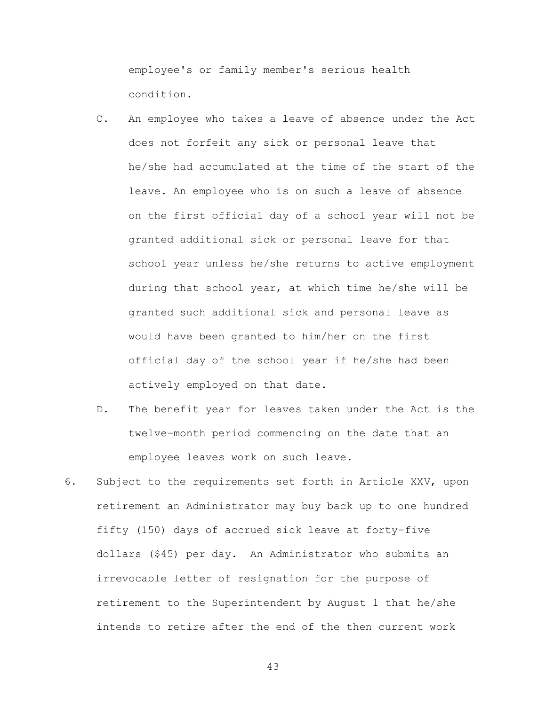employee's or family member's serious health condition.

- C. An employee who takes a leave of absence under the Act does not forfeit any sick or personal leave that he/she had accumulated at the time of the start of the leave. An employee who is on such a leave of absence on the first official day of a school year will not be granted additional sick or personal leave for that school year unless he/she returns to active employment during that school year, at which time he/she will be granted such additional sick and personal leave as would have been granted to him/her on the first official day of the school year if he/she had been actively employed on that date.
- D. The benefit year for leaves taken under the Act is the twelve-month period commencing on the date that an employee leaves work on such leave.
- 6. Subject to the requirements set forth in Article XXV, upon retirement an Administrator may buy back up to one hundred fifty (150) days of accrued sick leave at forty-five dollars (\$45) per day. An Administrator who submits an irrevocable letter of resignation for the purpose of retirement to the Superintendent by August 1 that he/she intends to retire after the end of the then current work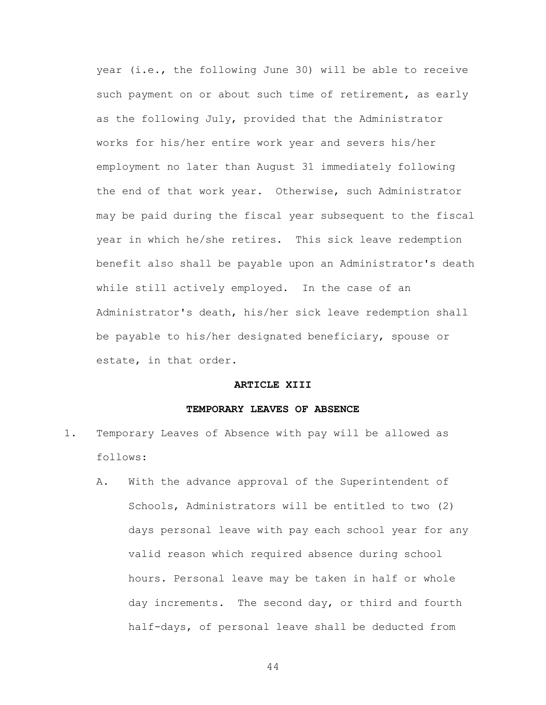year (i.e., the following June 30) will be able to receive such payment on or about such time of retirement, as early as the following July, provided that the Administrator works for his/her entire work year and severs his/her employment no later than August 31 immediately following the end of that work year. Otherwise, such Administrator may be paid during the fiscal year subsequent to the fiscal year in which he/she retires. This sick leave redemption benefit also shall be payable upon an Administrator's death while still actively employed. In the case of an Administrator's death, his/her sick leave redemption shall be payable to his/her designated beneficiary, spouse or estate, in that order.

#### **ARTICLE XIII**

#### **TEMPORARY LEAVES OF ABSENCE**

- 1. Temporary Leaves of Absence with pay will be allowed as follows:
	- A. With the advance approval of the Superintendent of Schools, Administrators will be entitled to two (2) days personal leave with pay each school year for any valid reason which required absence during school hours. Personal leave may be taken in half or whole day increments. The second day, or third and fourth half-days, of personal leave shall be deducted from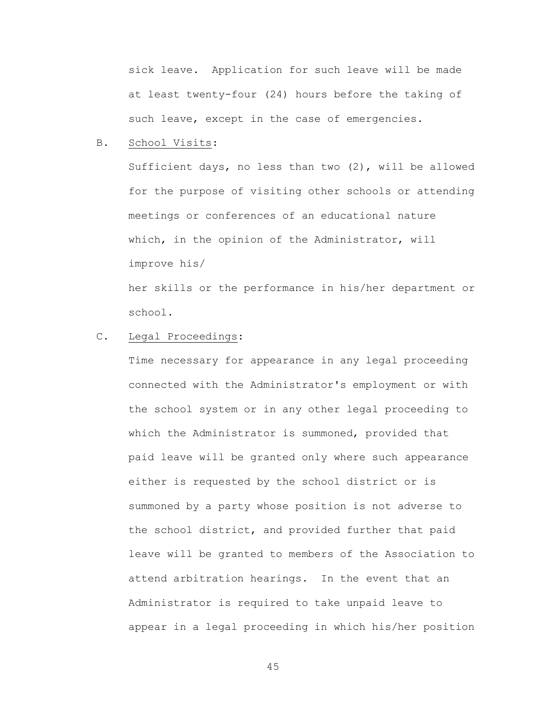sick leave. Application for such leave will be made at least twenty-four (24) hours before the taking of such leave, except in the case of emergencies.

### B. School Visits:

Sufficient days, no less than two (2), will be allowed for the purpose of visiting other schools or attending meetings or conferences of an educational nature which, in the opinion of the Administrator, will improve his/

her skills or the performance in his/her department or school.

## C. Legal Proceedings:

Time necessary for appearance in any legal proceeding connected with the Administrator's employment or with the school system or in any other legal proceeding to which the Administrator is summoned, provided that paid leave will be granted only where such appearance either is requested by the school district or is summoned by a party whose position is not adverse to the school district, and provided further that paid leave will be granted to members of the Association to attend arbitration hearings. In the event that an Administrator is required to take unpaid leave to appear in a legal proceeding in which his/her position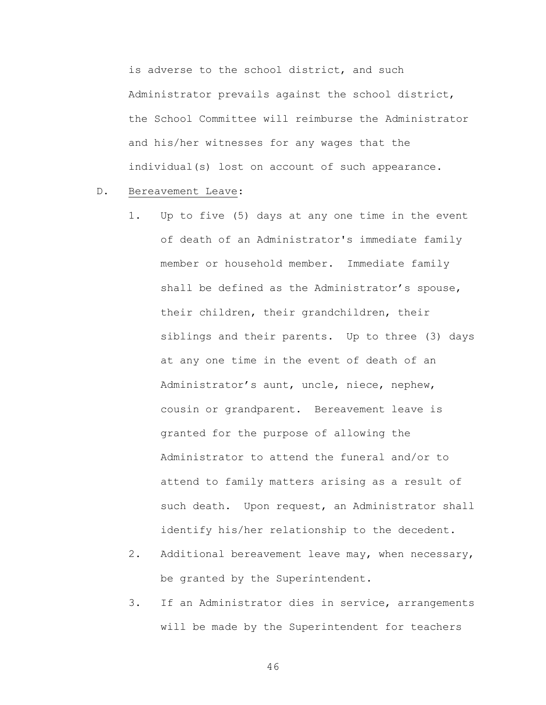is adverse to the school district, and such Administrator prevails against the school district, the School Committee will reimburse the Administrator and his/her witnesses for any wages that the individual(s) lost on account of such appearance.

- D. Bereavement Leave:
	- 1. Up to five (5) days at any one time in the event of death of an Administrator's immediate family member or household member. Immediate family shall be defined as the Administrator's spouse, their children, their grandchildren, their siblings and their parents. Up to three (3) days at any one time in the event of death of an Administrator's aunt, uncle, niece, nephew, cousin or grandparent. Bereavement leave is granted for the purpose of allowing the Administrator to attend the funeral and/or to attend to family matters arising as a result of such death. Upon request, an Administrator shall identify his/her relationship to the decedent.
	- 2. Additional bereavement leave may, when necessary, be granted by the Superintendent.
	- 3. If an Administrator dies in service, arrangements will be made by the Superintendent for teachers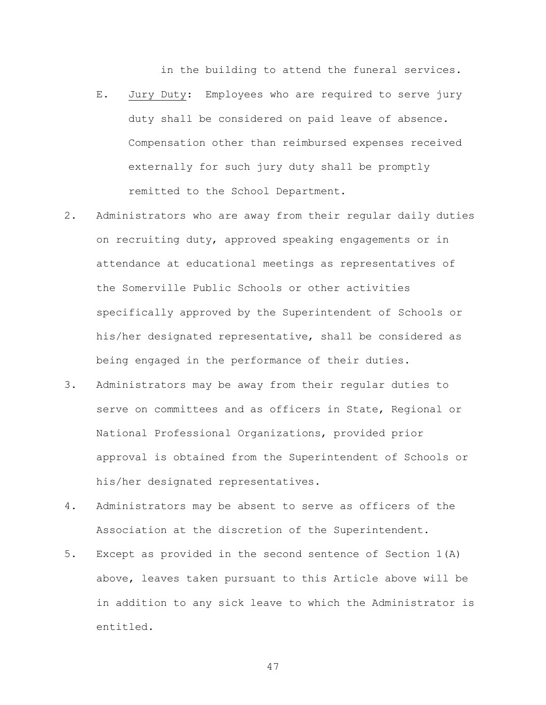in the building to attend the funeral services.

- E. Jury Duty: Employees who are required to serve jury duty shall be considered on paid leave of absence. Compensation other than reimbursed expenses received externally for such jury duty shall be promptly remitted to the School Department.
- 2. Administrators who are away from their regular daily duties on recruiting duty, approved speaking engagements or in attendance at educational meetings as representatives of the Somerville Public Schools or other activities specifically approved by the Superintendent of Schools or his/her designated representative, shall be considered as being engaged in the performance of their duties.
- 3. Administrators may be away from their regular duties to serve on committees and as officers in State, Regional or National Professional Organizations, provided prior approval is obtained from the Superintendent of Schools or his/her designated representatives.
- 4. Administrators may be absent to serve as officers of the Association at the discretion of the Superintendent.
- 5. Except as provided in the second sentence of Section 1(A) above, leaves taken pursuant to this Article above will be in addition to any sick leave to which the Administrator is entitled.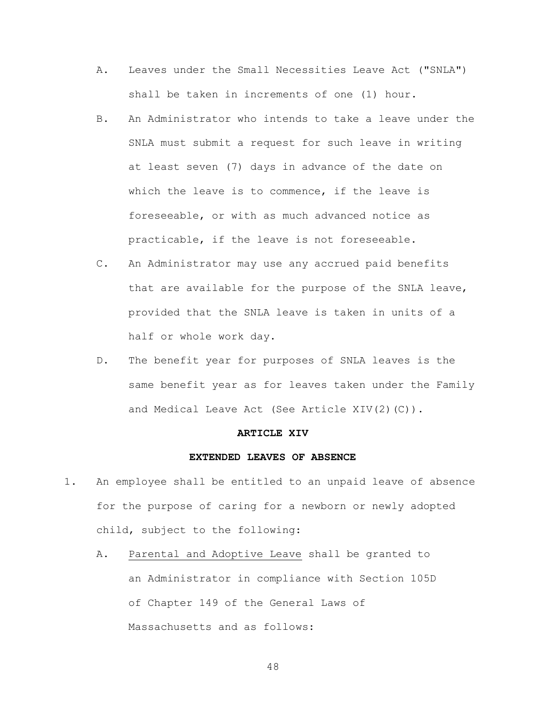- A. Leaves under the Small Necessities Leave Act ("SNLA") shall be taken in increments of one (1) hour.
- B. An Administrator who intends to take a leave under the SNLA must submit a request for such leave in writing at least seven (7) days in advance of the date on which the leave is to commence, if the leave is foreseeable, or with as much advanced notice as practicable, if the leave is not foreseeable.
- C. An Administrator may use any accrued paid benefits that are available for the purpose of the SNLA leave, provided that the SNLA leave is taken in units of a half or whole work day.
- D. The benefit year for purposes of SNLA leaves is the same benefit year as for leaves taken under the Family and Medical Leave Act (See Article XIV(2)(C)).

#### **ARTICLE XIV**

#### **EXTENDED LEAVES OF ABSENCE**

- 1. An employee shall be entitled to an unpaid leave of absence for the purpose of caring for a newborn or newly adopted child, subject to the following:
	- A. Parental and Adoptive Leave shall be granted to an Administrator in compliance with Section 105D of Chapter 149 of the General Laws of Massachusetts and as follows: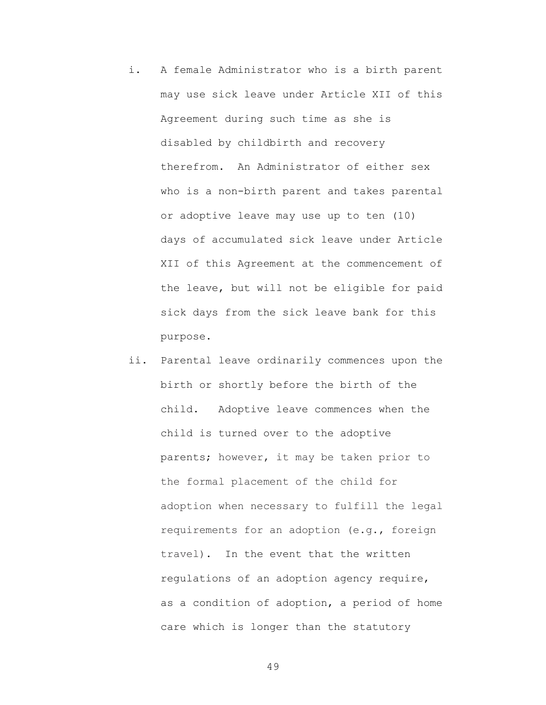- i. A female Administrator who is a birth parent may use sick leave under Article XII of this Agreement during such time as she is disabled by childbirth and recovery therefrom. An Administrator of either sex who is a non-birth parent and takes parental or adoptive leave may use up to ten (10) days of accumulated sick leave under Article XII of this Agreement at the commencement of the leave, but will not be eligible for paid sick days from the sick leave bank for this purpose.
- ii. Parental leave ordinarily commences upon the birth or shortly before the birth of the child. Adoptive leave commences when the child is turned over to the adoptive parents; however, it may be taken prior to the formal placement of the child for adoption when necessary to fulfill the legal requirements for an adoption (e.g., foreign travel). In the event that the written regulations of an adoption agency require, as a condition of adoption, a period of home care which is longer than the statutory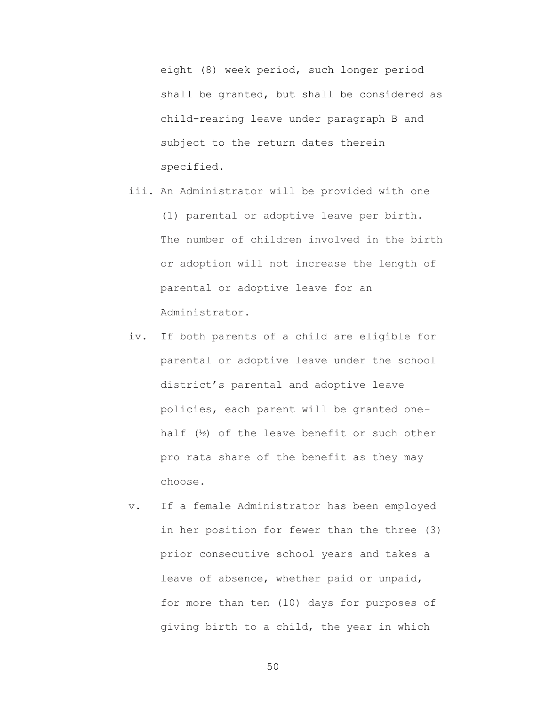eight (8) week period, such longer period shall be granted, but shall be considered as child-rearing leave under paragraph B and subject to the return dates therein specified.

iii. An Administrator will be provided with one

(1) parental or adoptive leave per birth. The number of children involved in the birth or adoption will not increase the length of parental or adoptive leave for an Administrator.

- iv. If both parents of a child are eligible for parental or adoptive leave under the school district's parental and adoptive leave policies, each parent will be granted onehalf (½) of the leave benefit or such other pro rata share of the benefit as they may choose.
- v. If a female Administrator has been employed in her position for fewer than the three (3) prior consecutive school years and takes a leave of absence, whether paid or unpaid, for more than ten (10) days for purposes of giving birth to a child, the year in which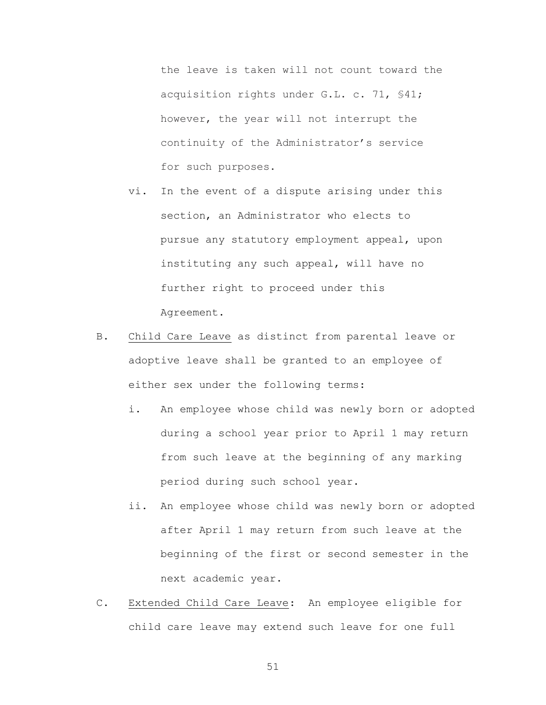the leave is taken will not count toward the acquisition rights under G.L. c. 71, §41; however, the year will not interrupt the continuity of the Administrator's service for such purposes.

- vi. In the event of a dispute arising under this section, an Administrator who elects to pursue any statutory employment appeal, upon instituting any such appeal, will have no further right to proceed under this Agreement.
- B. Child Care Leave as distinct from parental leave or adoptive leave shall be granted to an employee of either sex under the following terms:
	- i. An employee whose child was newly born or adopted during a school year prior to April 1 may return from such leave at the beginning of any marking period during such school year.
	- ii. An employee whose child was newly born or adopted after April 1 may return from such leave at the beginning of the first or second semester in the next academic year.
- C. Extended Child Care Leave: An employee eligible for child care leave may extend such leave for one full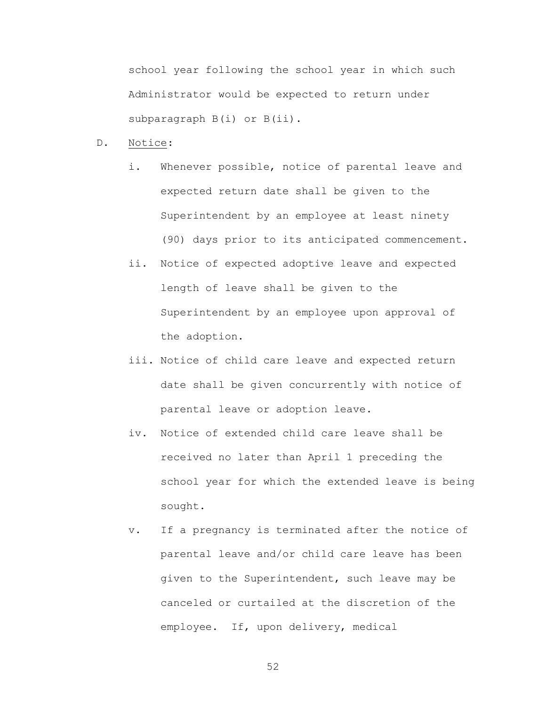school year following the school year in which such Administrator would be expected to return under subparagraph B(i) or B(ii).

- D. Notice:
	- i. Whenever possible, notice of parental leave and expected return date shall be given to the Superintendent by an employee at least ninety (90) days prior to its anticipated commencement.
	- ii. Notice of expected adoptive leave and expected length of leave shall be given to the Superintendent by an employee upon approval of the adoption.
	- iii. Notice of child care leave and expected return date shall be given concurrently with notice of parental leave or adoption leave.
	- iv. Notice of extended child care leave shall be received no later than April 1 preceding the school year for which the extended leave is being sought.
	- v. If a pregnancy is terminated after the notice of parental leave and/or child care leave has been given to the Superintendent, such leave may be canceled or curtailed at the discretion of the employee. If, upon delivery, medical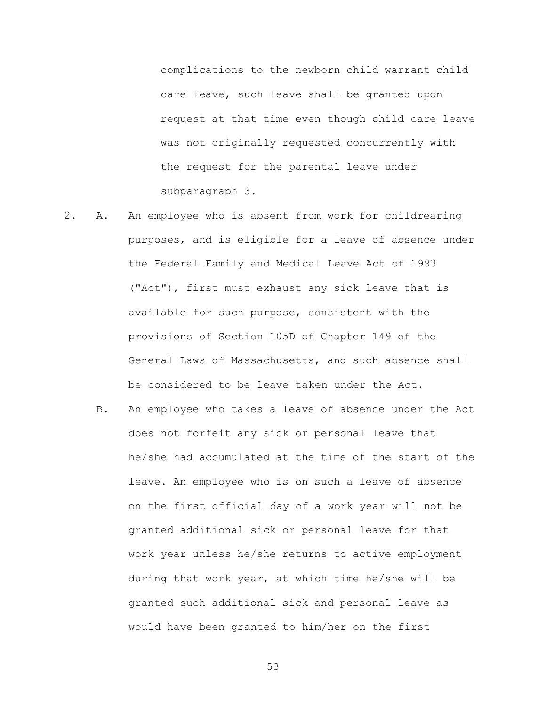complications to the newborn child warrant child care leave, such leave shall be granted upon request at that time even though child care leave was not originally requested concurrently with the request for the parental leave under subparagraph 3.

- 2. A. An employee who is absent from work for childrearing purposes, and is eligible for a leave of absence under the Federal Family and Medical Leave Act of 1993 ("Act"), first must exhaust any sick leave that is available for such purpose, consistent with the provisions of Section 105D of Chapter 149 of the General Laws of Massachusetts, and such absence shall be considered to be leave taken under the Act.
	- B. An employee who takes a leave of absence under the Act does not forfeit any sick or personal leave that he/she had accumulated at the time of the start of the leave. An employee who is on such a leave of absence on the first official day of a work year will not be granted additional sick or personal leave for that work year unless he/she returns to active employment during that work year, at which time he/she will be granted such additional sick and personal leave as would have been granted to him/her on the first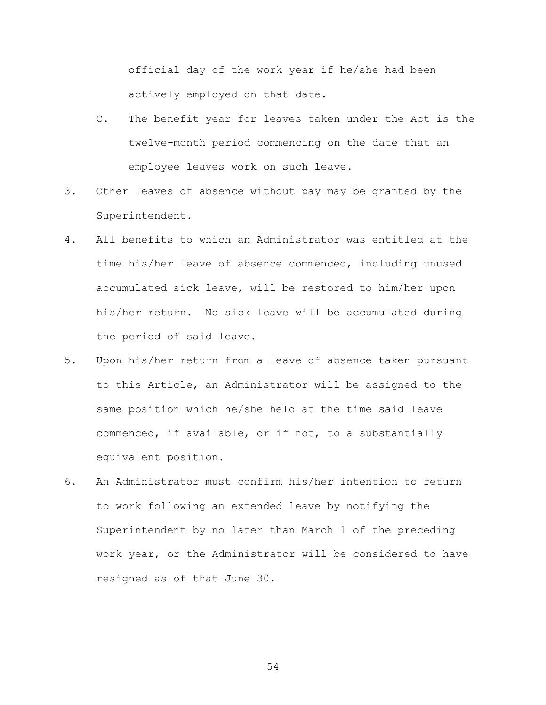official day of the work year if he/she had been actively employed on that date.

- C. The benefit year for leaves taken under the Act is the twelve-month period commencing on the date that an employee leaves work on such leave.
- 3. Other leaves of absence without pay may be granted by the Superintendent.
- 4. All benefits to which an Administrator was entitled at the time his/her leave of absence commenced, including unused accumulated sick leave, will be restored to him/her upon his/her return. No sick leave will be accumulated during the period of said leave.
- 5. Upon his/her return from a leave of absence taken pursuant to this Article, an Administrator will be assigned to the same position which he/she held at the time said leave commenced, if available, or if not, to a substantially equivalent position.
- 6. An Administrator must confirm his/her intention to return to work following an extended leave by notifying the Superintendent by no later than March 1 of the preceding work year, or the Administrator will be considered to have resigned as of that June 30.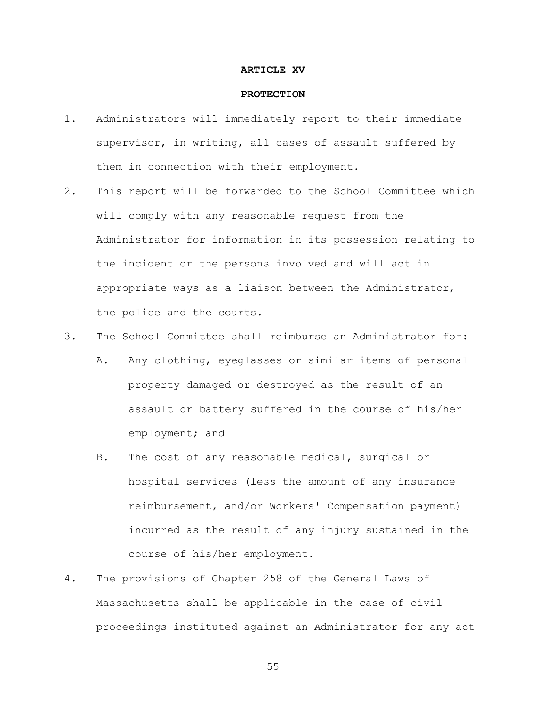#### **ARTICLE XV**

#### **PROTECTION**

- 1. Administrators will immediately report to their immediate supervisor, in writing, all cases of assault suffered by them in connection with their employment.
- 2. This report will be forwarded to the School Committee which will comply with any reasonable request from the Administrator for information in its possession relating to the incident or the persons involved and will act in appropriate ways as a liaison between the Administrator, the police and the courts.
- 3. The School Committee shall reimburse an Administrator for:
	- A. Any clothing, eyeglasses or similar items of personal property damaged or destroyed as the result of an assault or battery suffered in the course of his/her employment; and
	- B. The cost of any reasonable medical, surgical or hospital services (less the amount of any insurance reimbursement, and/or Workers' Compensation payment) incurred as the result of any injury sustained in the course of his/her employment.
- 4. The provisions of Chapter 258 of the General Laws of Massachusetts shall be applicable in the case of civil proceedings instituted against an Administrator for any act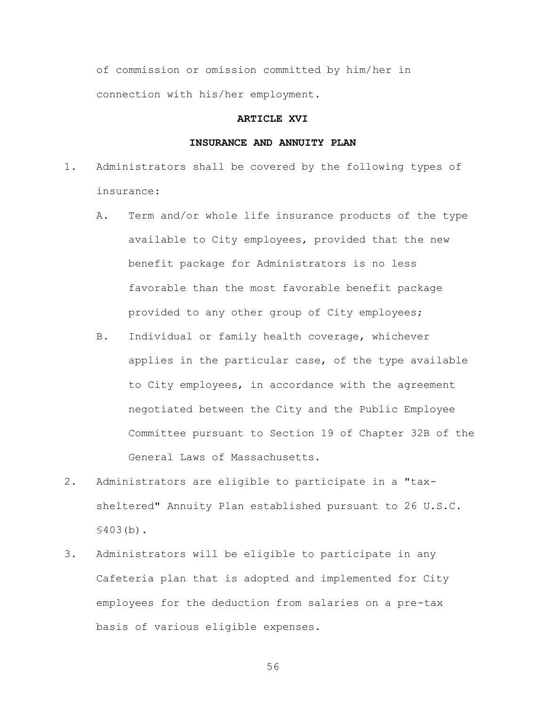of commission or omission committed by him/her in connection with his/her employment.

### **ARTICLE XVI**

## **INSURANCE AND ANNUITY PLAN**

- 1. Administrators shall be covered by the following types of insurance:
	- A. Term and/or whole life insurance products of the type available to City employees, provided that the new benefit package for Administrators is no less favorable than the most favorable benefit package provided to any other group of City employees;
	- B. Individual or family health coverage, whichever applies in the particular case, of the type available to City employees, in accordance with the agreement negotiated between the City and the Public Employee Committee pursuant to Section 19 of Chapter 32B of the General Laws of Massachusetts.
- 2. Administrators are eligible to participate in a "taxsheltered" Annuity Plan established pursuant to 26 U.S.C. §403(b).
- 3. Administrators will be eligible to participate in any Cafeteria plan that is adopted and implemented for City employees for the deduction from salaries on a pre-tax basis of various eligible expenses.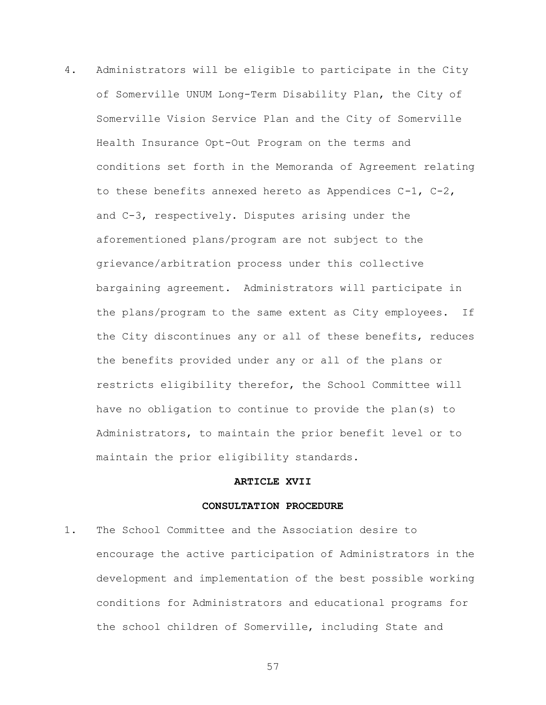4. Administrators will be eligible to participate in the City of Somerville UNUM Long-Term Disability Plan, the City of Somerville Vision Service Plan and the City of Somerville Health Insurance Opt-Out Program on the terms and conditions set forth in the Memoranda of Agreement relating to these benefits annexed hereto as Appendices C-1, C-2, and C-3, respectively. Disputes arising under the aforementioned plans/program are not subject to the grievance/arbitration process under this collective bargaining agreement. Administrators will participate in the plans/program to the same extent as City employees. If the City discontinues any or all of these benefits, reduces the benefits provided under any or all of the plans or restricts eligibility therefor, the School Committee will have no obligation to continue to provide the plan(s) to Administrators, to maintain the prior benefit level or to maintain the prior eligibility standards.

#### **ARTICLE XVII**

#### **CONSULTATION PROCEDURE**

1. The School Committee and the Association desire to encourage the active participation of Administrators in the development and implementation of the best possible working conditions for Administrators and educational programs for the school children of Somerville, including State and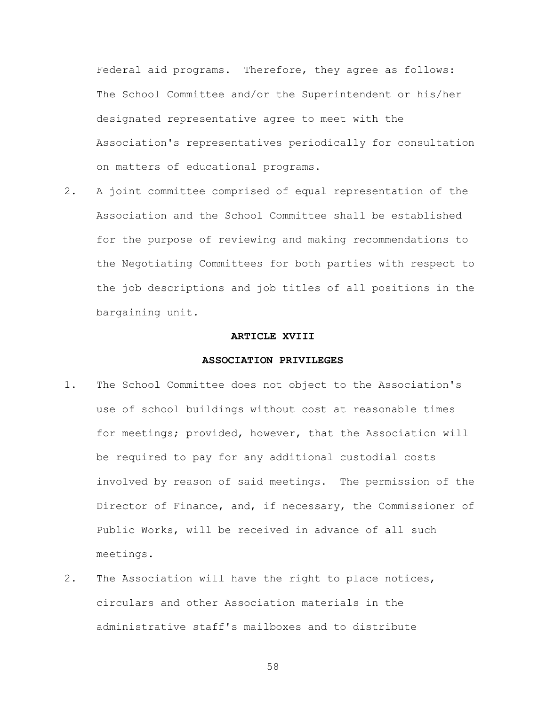Federal aid programs. Therefore, they agree as follows: The School Committee and/or the Superintendent or his/her designated representative agree to meet with the Association's representatives periodically for consultation on matters of educational programs.

2. A joint committee comprised of equal representation of the Association and the School Committee shall be established for the purpose of reviewing and making recommendations to the Negotiating Committees for both parties with respect to the job descriptions and job titles of all positions in the bargaining unit.

#### **ARTICLE XVIII**

### **ASSOCIATION PRIVILEGES**

- 1. The School Committee does not object to the Association's use of school buildings without cost at reasonable times for meetings; provided, however, that the Association will be required to pay for any additional custodial costs involved by reason of said meetings. The permission of the Director of Finance, and, if necessary, the Commissioner of Public Works, will be received in advance of all such meetings.
- 2. The Association will have the right to place notices, circulars and other Association materials in the administrative staff's mailboxes and to distribute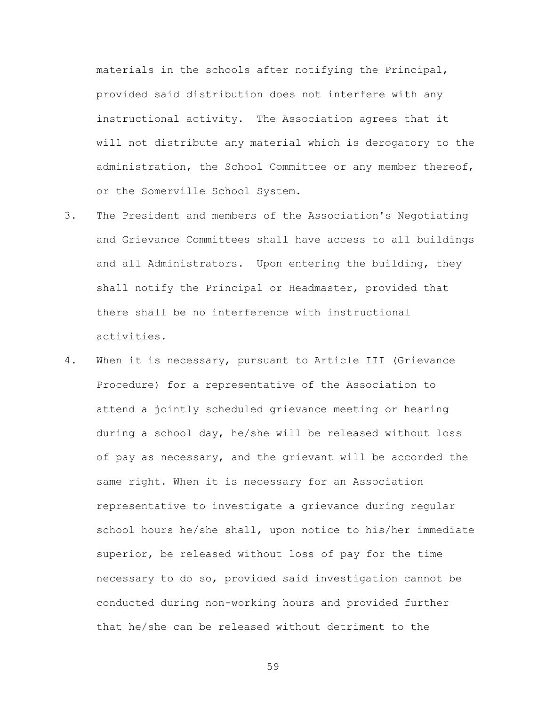materials in the schools after notifying the Principal, provided said distribution does not interfere with any instructional activity. The Association agrees that it will not distribute any material which is derogatory to the administration, the School Committee or any member thereof, or the Somerville School System.

- 3. The President and members of the Association's Negotiating and Grievance Committees shall have access to all buildings and all Administrators. Upon entering the building, they shall notify the Principal or Headmaster, provided that there shall be no interference with instructional activities.
- 4. When it is necessary, pursuant to Article III (Grievance Procedure) for a representative of the Association to attend a jointly scheduled grievance meeting or hearing during a school day, he/she will be released without loss of pay as necessary, and the grievant will be accorded the same right. When it is necessary for an Association representative to investigate a grievance during regular school hours he/she shall, upon notice to his/her immediate superior, be released without loss of pay for the time necessary to do so, provided said investigation cannot be conducted during non-working hours and provided further that he/she can be released without detriment to the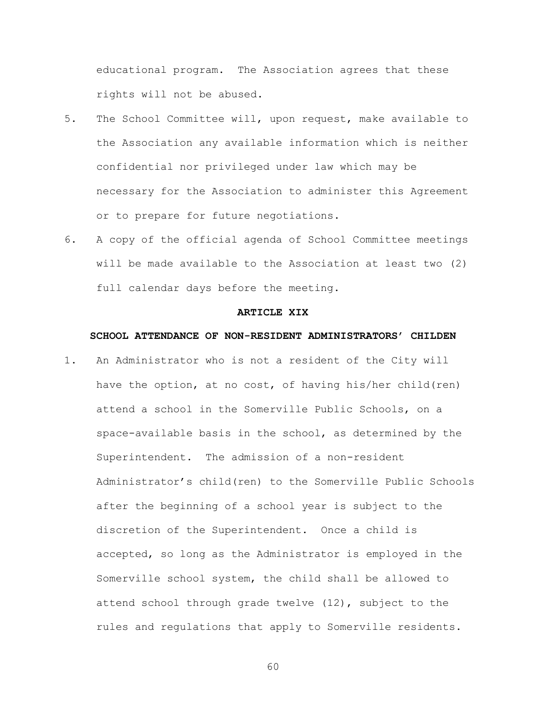educational program. The Association agrees that these rights will not be abused.

- 5. The School Committee will, upon request, make available to the Association any available information which is neither confidential nor privileged under law which may be necessary for the Association to administer this Agreement or to prepare for future negotiations.
- 6. A copy of the official agenda of School Committee meetings will be made available to the Association at least two (2) full calendar days before the meeting.

#### **ARTICLE XIX**

### **SCHOOL ATTENDANCE OF NON-RESIDENT ADMINISTRATORS' CHILDEN**

1. An Administrator who is not a resident of the City will have the option, at no cost, of having his/her child(ren) attend a school in the Somerville Public Schools, on a space-available basis in the school, as determined by the Superintendent. The admission of a non-resident Administrator's child(ren) to the Somerville Public Schools after the beginning of a school year is subject to the discretion of the Superintendent. Once a child is accepted, so long as the Administrator is employed in the Somerville school system, the child shall be allowed to attend school through grade twelve (12), subject to the rules and regulations that apply to Somerville residents.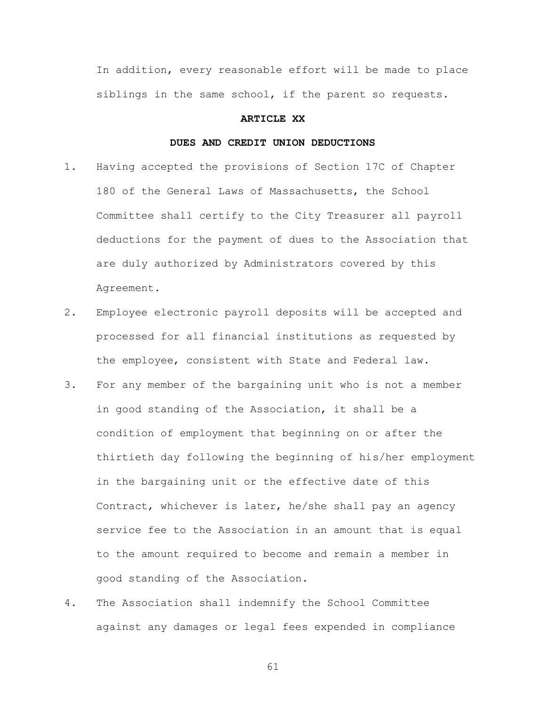In addition, every reasonable effort will be made to place siblings in the same school, if the parent so requests.

### **ARTICLE XX**

### **DUES AND CREDIT UNION DEDUCTIONS**

- 1. Having accepted the provisions of Section 17C of Chapter 180 of the General Laws of Massachusetts, the School Committee shall certify to the City Treasurer all payroll deductions for the payment of dues to the Association that are duly authorized by Administrators covered by this Agreement.
- 2. Employee electronic payroll deposits will be accepted and processed for all financial institutions as requested by the employee, consistent with State and Federal law.
- 3. For any member of the bargaining unit who is not a member in good standing of the Association, it shall be a condition of employment that beginning on or after the thirtieth day following the beginning of his/her employment in the bargaining unit or the effective date of this Contract, whichever is later, he/she shall pay an agency service fee to the Association in an amount that is equal to the amount required to become and remain a member in good standing of the Association.
- 4. The Association shall indemnify the School Committee against any damages or legal fees expended in compliance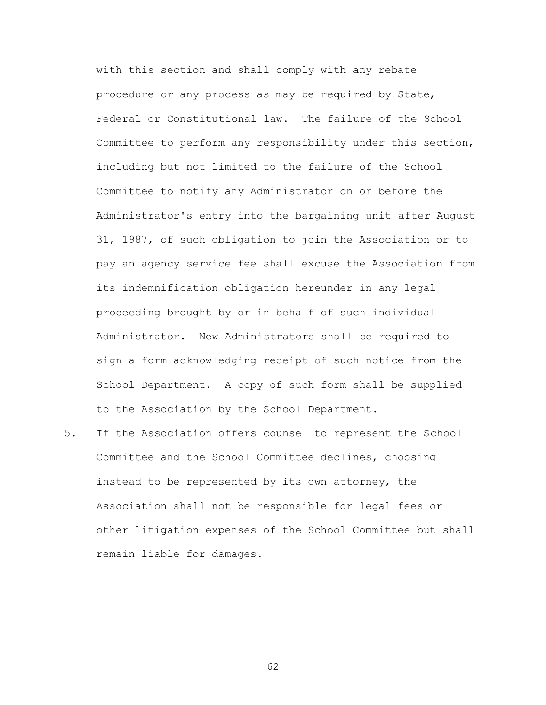with this section and shall comply with any rebate procedure or any process as may be required by State, Federal or Constitutional law. The failure of the School Committee to perform any responsibility under this section, including but not limited to the failure of the School Committee to notify any Administrator on or before the Administrator's entry into the bargaining unit after August 31, 1987, of such obligation to join the Association or to pay an agency service fee shall excuse the Association from its indemnification obligation hereunder in any legal proceeding brought by or in behalf of such individual Administrator. New Administrators shall be required to sign a form acknowledging receipt of such notice from the School Department. A copy of such form shall be supplied to the Association by the School Department.

5. If the Association offers counsel to represent the School Committee and the School Committee declines, choosing instead to be represented by its own attorney, the Association shall not be responsible for legal fees or other litigation expenses of the School Committee but shall remain liable for damages.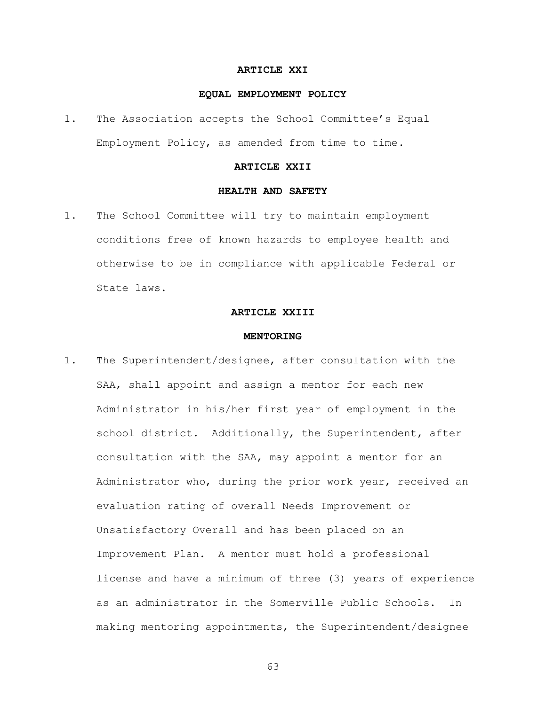#### **ARTICLE XXI**

#### **EQUAL EMPLOYMENT POLICY**

1. The Association accepts the School Committee's Equal Employment Policy, as amended from time to time.

## **ARTICLE XXII**

## **HEALTH AND SAFETY**

1. The School Committee will try to maintain employment conditions free of known hazards to employee health and otherwise to be in compliance with applicable Federal or State laws.

#### **ARTICLE XXIII**

#### **MENTORING**

1. The Superintendent/designee, after consultation with the SAA, shall appoint and assign a mentor for each new Administrator in his/her first year of employment in the school district. Additionally, the Superintendent, after consultation with the SAA, may appoint a mentor for an Administrator who, during the prior work year, received an evaluation rating of overall Needs Improvement or Unsatisfactory Overall and has been placed on an Improvement Plan. A mentor must hold a professional license and have a minimum of three (3) years of experience as an administrator in the Somerville Public Schools. In making mentoring appointments, the Superintendent/designee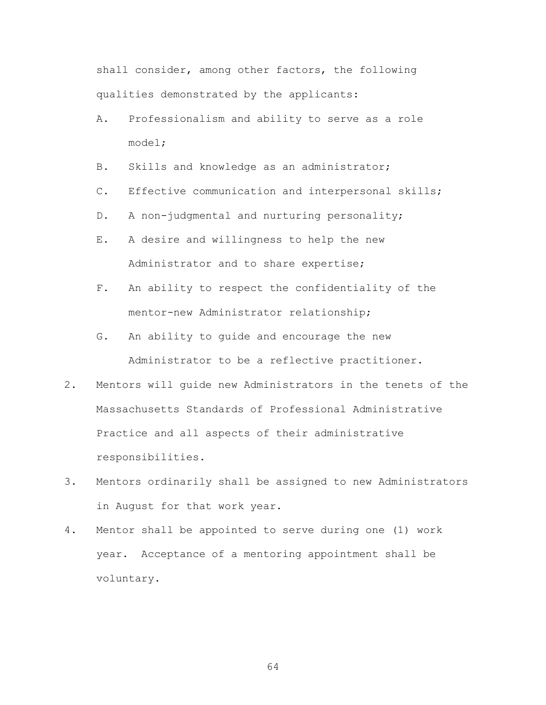shall consider, among other factors, the following qualities demonstrated by the applicants:

- A. Professionalism and ability to serve as a role model;
- B. Skills and knowledge as an administrator;
- C. Effective communication and interpersonal skills;
- D. A non-judgmental and nurturing personality;
- E. A desire and willingness to help the new Administrator and to share expertise;
- F. An ability to respect the confidentiality of the mentor-new Administrator relationship;
- G. An ability to guide and encourage the new Administrator to be a reflective practitioner.
- 2. Mentors will guide new Administrators in the tenets of the Massachusetts Standards of Professional Administrative Practice and all aspects of their administrative responsibilities.
- 3. Mentors ordinarily shall be assigned to new Administrators in August for that work year.
- 4. Mentor shall be appointed to serve during one (1) work year. Acceptance of a mentoring appointment shall be voluntary.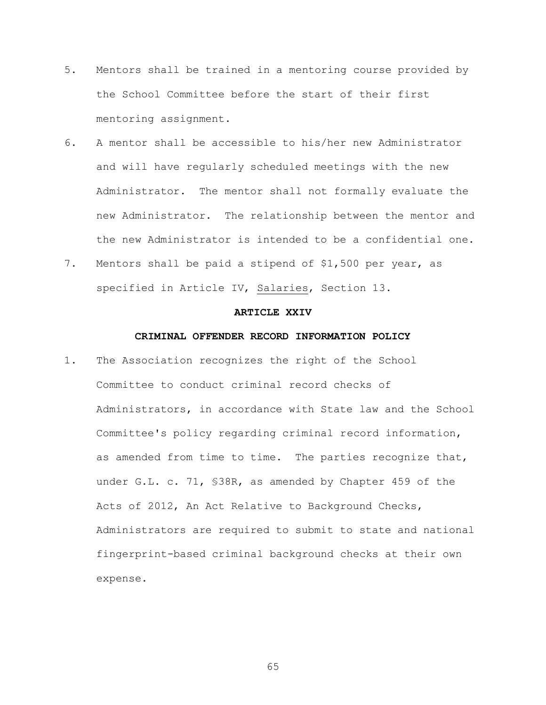- 5. Mentors shall be trained in a mentoring course provided by the School Committee before the start of their first mentoring assignment.
- 6. A mentor shall be accessible to his/her new Administrator and will have regularly scheduled meetings with the new Administrator. The mentor shall not formally evaluate the new Administrator. The relationship between the mentor and the new Administrator is intended to be a confidential one.
- 7. Mentors shall be paid a stipend of \$1,500 per year, as specified in Article IV, Salaries, Section 13.

### **ARTICLE XXIV**

### **CRIMINAL OFFENDER RECORD INFORMATION POLICY**

1. The Association recognizes the right of the School Committee to conduct criminal record checks of Administrators, in accordance with State law and the School Committee's policy regarding criminal record information, as amended from time to time. The parties recognize that, under G.L. c. 71, §38R, as amended by Chapter 459 of the Acts of 2012, An Act Relative to Background Checks, Administrators are required to submit to state and national fingerprint-based criminal background checks at their own expense.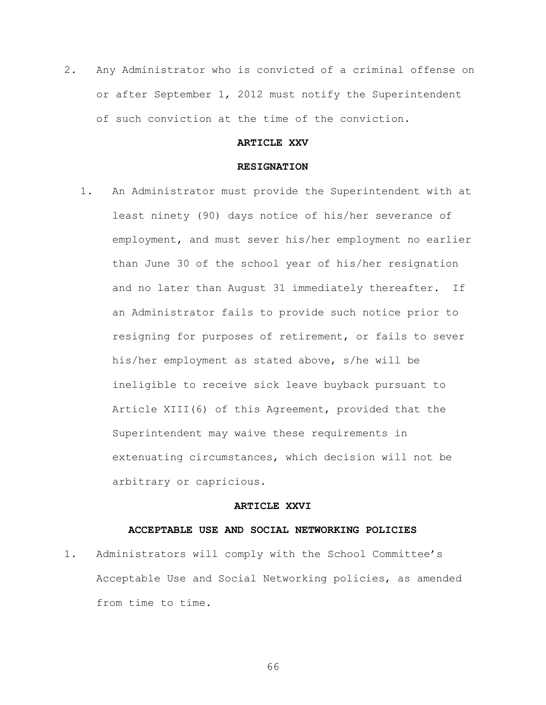2. Any Administrator who is convicted of a criminal offense on or after September 1, 2012 must notify the Superintendent of such conviction at the time of the conviction.

## **ARTICLE XXV**

#### **RESIGNATION**

1. An Administrator must provide the Superintendent with at least ninety (90) days notice of his/her severance of employment, and must sever his/her employment no earlier than June 30 of the school year of his/her resignation and no later than August 31 immediately thereafter. If an Administrator fails to provide such notice prior to resigning for purposes of retirement, or fails to sever his/her employment as stated above, s/he will be ineligible to receive sick leave buyback pursuant to Article XIII(6) of this Agreement, provided that the Superintendent may waive these requirements in extenuating circumstances, which decision will not be arbitrary or capricious.

#### **ARTICLE XXVI**

### **ACCEPTABLE USE AND SOCIAL NETWORKING POLICIES**

1. Administrators will comply with the School Committee's Acceptable Use and Social Networking policies, as amended from time to time.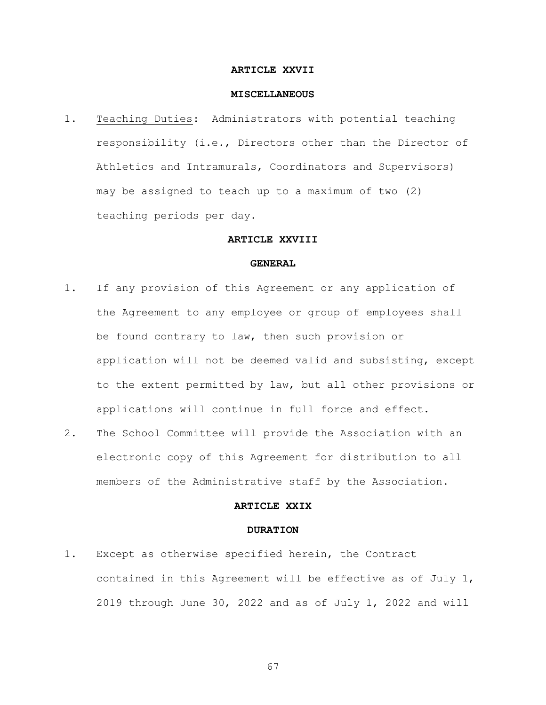#### **ARTICLE XXVII**

#### **MISCELLANEOUS**

1. Teaching Duties: Administrators with potential teaching responsibility (i.e., Directors other than the Director of Athletics and Intramurals, Coordinators and Supervisors) may be assigned to teach up to a maximum of two (2) teaching periods per day.

### **ARTICLE XXVIII**

#### **GENERAL**

- 1. If any provision of this Agreement or any application of the Agreement to any employee or group of employees shall be found contrary to law, then such provision or application will not be deemed valid and subsisting, except to the extent permitted by law, but all other provisions or applications will continue in full force and effect.
- 2. The School Committee will provide the Association with an electronic copy of this Agreement for distribution to all members of the Administrative staff by the Association.

## **ARTICLE XXIX**

#### **DURATION**

1. Except as otherwise specified herein, the Contract contained in this Agreement will be effective as of July 1, 2019 through June 30, 2022 and as of July 1, 2022 and will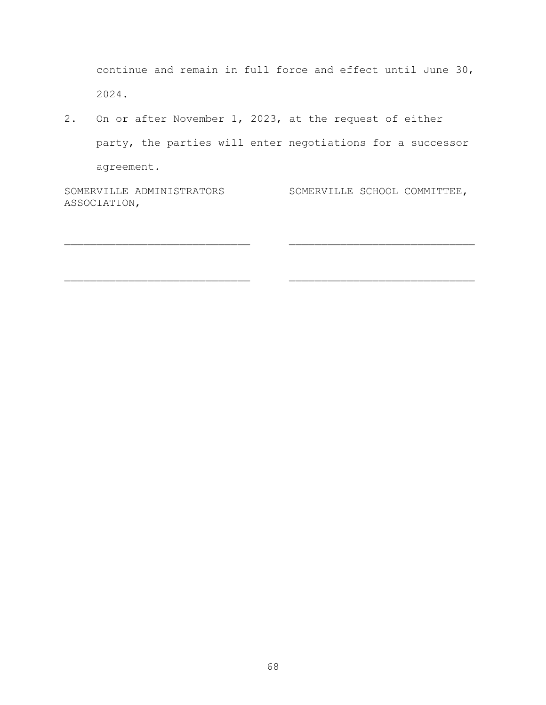continue and remain in full force and effect until June 30, 2024.

2. On or after November 1, 2023, at the request of either party, the parties will enter negotiations for a successor agreement.

SOMERVILLE ADMINISTRATORS SOMERVILLE SCHOOL COMMITTEE, ASSOCIATION,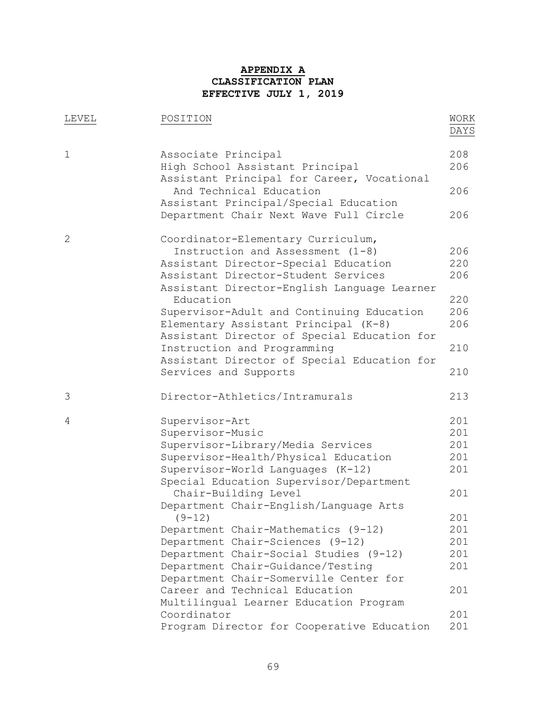# **APPENDIX A CLASSIFICATION PLAN EFFECTIVE JULY 1, 2019**

| LEVEL        | POSITION                                                                                             | WORK<br>DAYS |
|--------------|------------------------------------------------------------------------------------------------------|--------------|
| $\mathbf 1$  | Associate Principal<br>High School Assistant Principal<br>Assistant Principal for Career, Vocational | 208<br>206   |
|              | And Technical Education<br>Assistant Principal/Special Education                                     | 206          |
|              | Department Chair Next Wave Full Circle                                                               | 206          |
| $\mathbf{2}$ | Coordinator-Elementary Curriculum,                                                                   |              |
|              | Instruction and Assessment $(1-8)$                                                                   | 206          |
|              | Assistant Director-Special Education                                                                 | 220          |
|              | Assistant Director-Student Services<br>Assistant Director-English Language Learner                   | 206          |
|              | Education                                                                                            | 220          |
|              | Supervisor-Adult and Continuing Education                                                            | 206          |
|              | Elementary Assistant Principal (K-8)                                                                 | 206          |
|              | Assistant Director of Special Education for                                                          |              |
|              | Instruction and Programming                                                                          | 210          |
|              | Assistant Director of Special Education for                                                          |              |
|              | Services and Supports                                                                                | 210          |
| 3            | Director-Athletics/Intramurals                                                                       | 213          |
| 4            | Supervisor-Art                                                                                       | 201          |
|              | Supervisor-Music                                                                                     | 201          |
|              | Supervisor-Library/Media Services                                                                    | 201          |
|              | Supervisor-Health/Physical Education                                                                 | 201          |
|              | Supervisor-World Languages (K-12)                                                                    | 201          |
|              | Special Education Supervisor/Department                                                              |              |
|              | Chair-Building Level                                                                                 | 201          |
|              | Department Chair-English/Language Arts                                                               |              |
|              | $(9-12)$                                                                                             | 201          |
|              | Department Chair-Mathematics (9-12)                                                                  | 201          |
|              | Department Chair-Sciences (9-12)                                                                     | 201          |
|              | Department Chair-Social Studies (9-12)                                                               | 201          |
|              | Department Chair-Guidance/Testing                                                                    | 201          |
|              | Department Chair-Somerville Center for                                                               |              |
|              | Career and Technical Education                                                                       | 201          |
|              | Multilingual Learner Education Program                                                               |              |
|              | Coordinator                                                                                          | 201          |
|              | Program Director for Cooperative Education                                                           | 201          |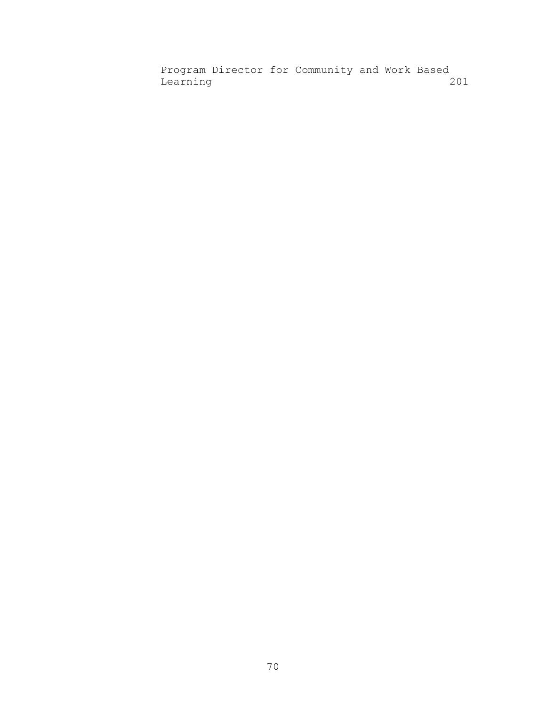Program Director for Community and Work Based Learning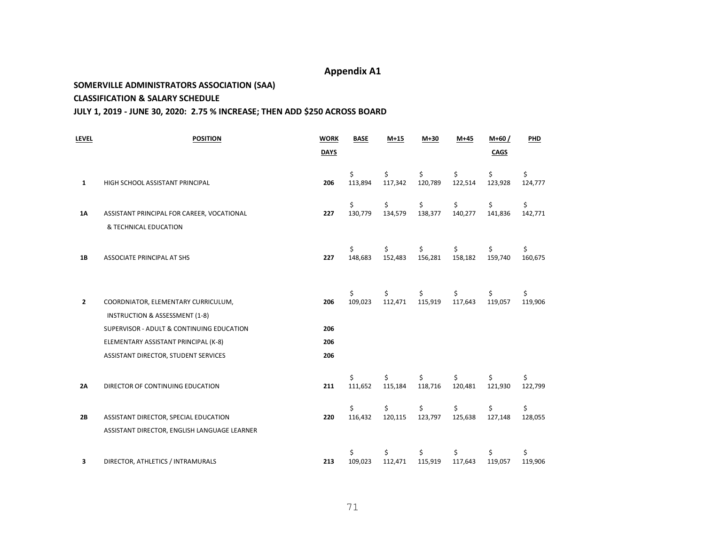#### **SOMERVILLE ADMINISTRATORS ASSOCIATION (SAA)**

#### **CLASSIFICATION & SALARY SCHEDULE**

#### **JULY 1, 2019 - JUNE 30, 2020: 2.75 % INCREASE; THEN ADD \$250 ACROSS BOARD**

| LEVEL | <b>POSITION</b>                                                                       | <b>WORK</b><br><b>DAYS</b> | <b>BASE</b>   | $M+15$        | $M+30$        | $M+45$        | $M+60/$<br>CAGS | <b>PHD</b>    |
|-------|---------------------------------------------------------------------------------------|----------------------------|---------------|---------------|---------------|---------------|-----------------|---------------|
| 1     | HIGH SCHOOL ASSISTANT PRINCIPAL                                                       | 206                        | \$<br>113,894 | \$<br>117,342 | \$<br>120,789 | \$<br>122,514 | \$<br>123,928   | \$<br>124,777 |
| 1Α    | ASSISTANT PRINCIPAL FOR CAREER, VOCATIONAL<br>& TECHNICAL EDUCATION                   | 227                        | \$<br>130,779 | Ś.<br>134,579 | \$<br>138,377 | Ś.<br>140,277 | \$<br>141,836   | \$<br>142,771 |
| 1B    | ASSOCIATE PRINCIPAL AT SHS                                                            | 227                        | \$<br>148,683 | Ś.<br>152,483 | \$<br>156,281 | \$<br>158,182 | \$<br>159,740   | \$<br>160,675 |
| 2     | COORDNIATOR, ELEMENTARY CURRICULUM,<br>INSTRUCTION & ASSESSMENT (1-8)                 | 206                        | \$<br>109,023 | Ś.<br>112,471 | \$<br>115,919 | Ś.<br>117,643 | \$<br>119,057   | \$<br>119,906 |
|       | SUPERVISOR - ADULT & CONTINUING EDUCATION                                             | 206                        |               |               |               |               |                 |               |
|       | ELEMENTARY ASSISTANT PRINCIPAL (K-8)                                                  | 206                        |               |               |               |               |                 |               |
|       | ASSISTANT DIRECTOR, STUDENT SERVICES                                                  | 206                        |               |               |               |               |                 |               |
| 2A    | DIRECTOR OF CONTINUING EDUCATION                                                      | 211                        | Ś<br>111,652  | Ś.<br>115,184 | Ś<br>118,716  | 120,481       | Ś<br>121,930    | \$<br>122,799 |
| 2B    | ASSISTANT DIRECTOR, SPECIAL EDUCATION<br>ASSISTANT DIRECTOR, ENGLISH LANGUAGE LEARNER | 220                        | \$<br>116,432 | \$<br>120,115 | \$<br>123,797 | Ś.<br>125,638 | \$<br>127,148   | \$<br>128,055 |
| 3     | DIRECTOR, ATHLETICS / INTRAMURALS                                                     | 213                        | Ś<br>109,023  | Ś.<br>112,471 | Ś<br>115,919  | 117,643       | \$<br>119,057   | \$<br>119,906 |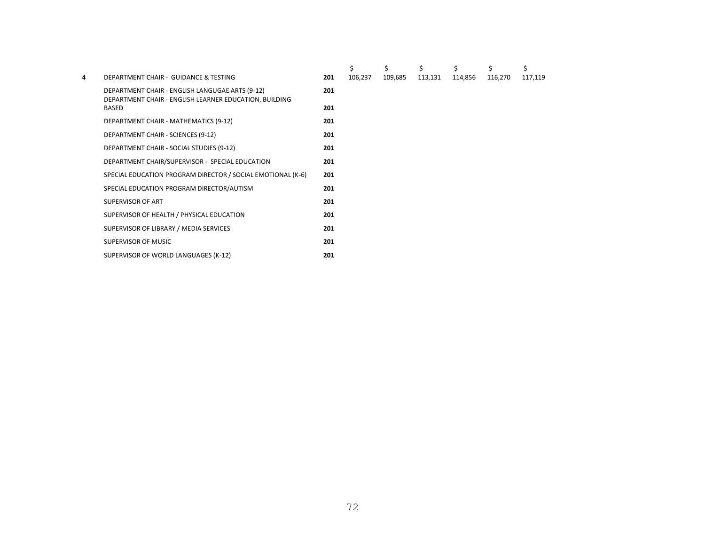|   |                                                                                                           |     | \$      | Ś       | Ś       | Ś       | Ś       | \$      |  |
|---|-----------------------------------------------------------------------------------------------------------|-----|---------|---------|---------|---------|---------|---------|--|
| 4 | DEPARTMENT CHAIR - GUIDANCE & TESTING                                                                     | 201 | 106,237 | 109,685 | 113,131 | 114,856 | 116,270 | 117,119 |  |
|   | DEPARTMENT CHAIR - ENGLISH LANGUGAE ARTS (9-12)<br>DEPARTMENT CHAIR - ENGLISH LEARNER EDUCATION, BUILDING | 201 |         |         |         |         |         |         |  |
|   | <b>BASED</b>                                                                                              | 201 |         |         |         |         |         |         |  |
|   | DEPARTMENT CHAIR - MATHEMATICS (9-12)                                                                     | 201 |         |         |         |         |         |         |  |
|   | DEPARTMENT CHAIR - SCIENCES (9-12)                                                                        | 201 |         |         |         |         |         |         |  |
|   | DEPARTMENT CHAIR - SOCIAL STUDIES (9-12)                                                                  | 201 |         |         |         |         |         |         |  |
|   | DEPARTMENT CHAIR/SUPERVISOR - SPECIAL EDUCATION                                                           | 201 |         |         |         |         |         |         |  |
|   | SPECIAL EDUCATION PROGRAM DIRECTOR / SOCIAL EMOTIONAL (K-6)                                               | 201 |         |         |         |         |         |         |  |
|   | SPECIAL EDUCATION PROGRAM DIRECTOR/AUTISM                                                                 | 201 |         |         |         |         |         |         |  |
|   | SUPERVISOR OF ART                                                                                         | 201 |         |         |         |         |         |         |  |
|   | SUPERVISOR OF HEALTH / PHYSICAL EDUCATION                                                                 | 201 |         |         |         |         |         |         |  |
|   | SUPERVISOR OF LIBRARY / MEDIA SERVICES                                                                    | 201 |         |         |         |         |         |         |  |
|   | SUPERVISOR OF MUSIC                                                                                       | 201 |         |         |         |         |         |         |  |
|   | SUPERVISOR OF WORLD LANGUAGES (K-12)                                                                      | 201 |         |         |         |         |         |         |  |
|   |                                                                                                           |     |         |         |         |         |         |         |  |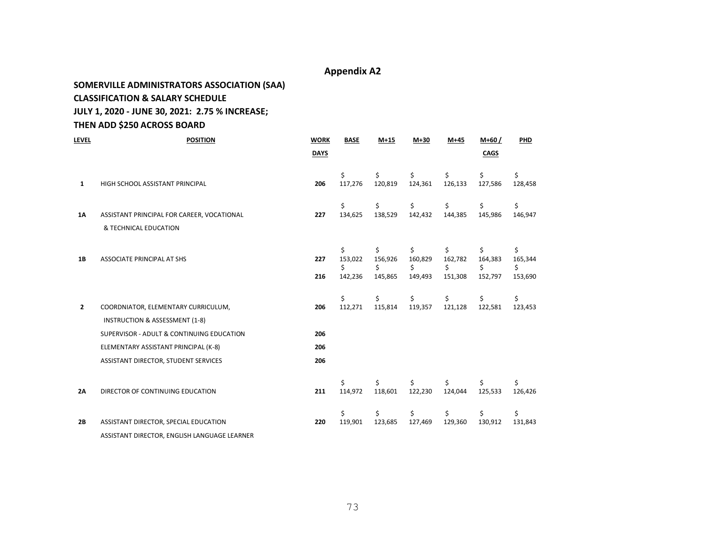### **SOMERVILLE ADMINISTRATORS ASSOCIATION (SAA)**

#### **CLASSIFICATION & SALARY SCHEDULE**

#### **JULY 1, 2020 - JUNE 30, 2021: 2.75 % INCREASE;**

### **THEN ADD \$250 ACROSS BOARD**

| <b>LEVEL</b>   | <b>POSITION</b>                                                                                                                                                                                               | <b>WORK</b>              | <b>BASE</b>                    | $M+15$                         | $M+30$                         | $M+45$                        | $M+60/$                        | PHD                            |
|----------------|---------------------------------------------------------------------------------------------------------------------------------------------------------------------------------------------------------------|--------------------------|--------------------------------|--------------------------------|--------------------------------|-------------------------------|--------------------------------|--------------------------------|
|                |                                                                                                                                                                                                               | <b>DAYS</b>              |                                |                                |                                |                               | <b>CAGS</b>                    |                                |
| 1              | HIGH SCHOOL ASSISTANT PRINCIPAL                                                                                                                                                                               | 206                      | \$<br>117,276                  | Ś.<br>120,819                  | \$<br>124,361                  | Ś.<br>126,133                 | \$<br>127,586                  | \$<br>128,458                  |
| 1A             | ASSISTANT PRINCIPAL FOR CAREER, VOCATIONAL<br>& TECHNICAL EDUCATION                                                                                                                                           | 227                      | \$<br>134,625                  | \$<br>138,529                  | \$<br>142,432                  | \$<br>144,385                 | \$<br>145,986                  | \$<br>146,947                  |
| 1B             | ASSOCIATE PRINCIPAL AT SHS                                                                                                                                                                                    | 227<br>216               | \$<br>153,022<br>\$<br>142,236 | \$<br>156,926<br>Ś.<br>145,865 | \$<br>160,829<br>\$<br>149,493 | Ś<br>162,782<br>Ś.<br>151,308 | \$<br>164,383<br>\$<br>152,797 | \$<br>165,344<br>\$<br>153,690 |
| 2              | COORDNIATOR, ELEMENTARY CURRICULUM,<br><b>INSTRUCTION &amp; ASSESSMENT (1-8)</b><br>SUPERVISOR - ADULT & CONTINUING EDUCATION<br>ELEMENTARY ASSISTANT PRINCIPAL (K-8)<br>ASSISTANT DIRECTOR, STUDENT SERVICES | 206<br>206<br>206<br>206 | Ś<br>112,271                   | Ś.<br>115,814                  | \$<br>119,357                  | Ś.<br>121,128                 | \$<br>122,581                  | \$<br>123,453                  |
| 2 <sub>A</sub> | DIRECTOR OF CONTINUING EDUCATION                                                                                                                                                                              | 211                      | Ś.<br>114,972                  | Ś.<br>118,601                  | 122,230                        | 124,044                       | \$<br>125,533                  | \$<br>126,426                  |
| 2B             | ASSISTANT DIRECTOR, SPECIAL EDUCATION<br>ASSISTANT DIRECTOR, ENGLISH LANGUAGE LEARNER                                                                                                                         | 220                      | \$<br>119,901                  | \$<br>123,685                  | \$<br>127,469                  | \$<br>129,360                 | \$<br>130,912                  | \$<br>131,843                  |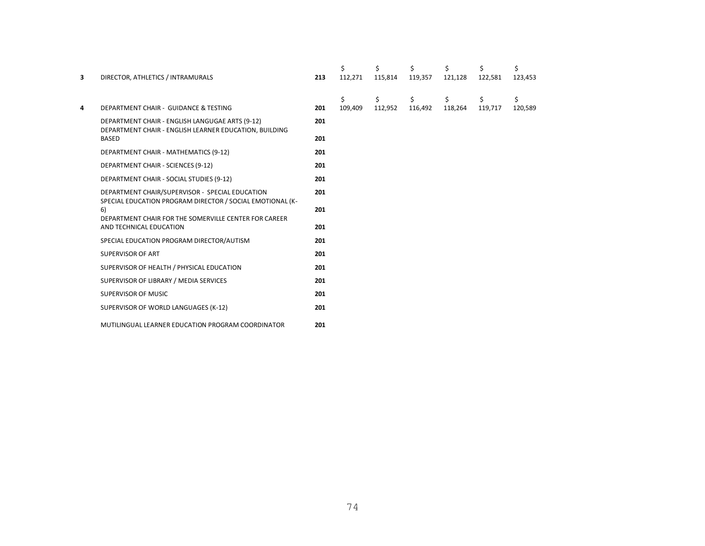| $\overline{\mathbf{3}}$ | DIRECTOR, ATHLETICS / INTRAMURALS                                                                         | 213 | \$<br>112,271 | \$<br>115,814 | \$<br>119,357 | \$<br>121,128 | \$<br>122,581 | \$<br>123,453 |  |
|-------------------------|-----------------------------------------------------------------------------------------------------------|-----|---------------|---------------|---------------|---------------|---------------|---------------|--|
| 4                       | DEPARTMENT CHAIR - GUIDANCE & TESTING                                                                     | 201 | \$<br>109,409 | \$<br>112,952 | \$<br>116,492 | \$<br>118,264 | \$<br>119,717 | \$<br>120,589 |  |
|                         | DEPARTMENT CHAIR - ENGLISH LANGUGAE ARTS (9-12)<br>DEPARTMENT CHAIR - ENGLISH LEARNER EDUCATION, BUILDING | 201 |               |               |               |               |               |               |  |
|                         | <b>BASED</b>                                                                                              | 201 |               |               |               |               |               |               |  |
|                         | DEPARTMENT CHAIR - MATHEMATICS (9-12)                                                                     | 201 |               |               |               |               |               |               |  |
|                         | DEPARTMENT CHAIR - SCIENCES (9-12)                                                                        | 201 |               |               |               |               |               |               |  |
|                         | DEPARTMENT CHAIR - SOCIAL STUDIES (9-12)                                                                  | 201 |               |               |               |               |               |               |  |
|                         | DEPARTMENT CHAIR/SUPERVISOR - SPECIAL EDUCATION                                                           | 201 |               |               |               |               |               |               |  |
|                         | SPECIAL EDUCATION PROGRAM DIRECTOR / SOCIAL EMOTIONAL (K-<br>6)                                           | 201 |               |               |               |               |               |               |  |
|                         | DEPARTMENT CHAIR FOR THE SOMERVILLE CENTER FOR CAREER                                                     |     |               |               |               |               |               |               |  |
|                         | AND TECHNICAL EDUCATION                                                                                   | 201 |               |               |               |               |               |               |  |
|                         | SPECIAL EDUCATION PROGRAM DIRECTOR/AUTISM                                                                 | 201 |               |               |               |               |               |               |  |
|                         | <b>SUPERVISOR OF ART</b>                                                                                  | 201 |               |               |               |               |               |               |  |
|                         | SUPERVISOR OF HEALTH / PHYSICAL EDUCATION                                                                 | 201 |               |               |               |               |               |               |  |
|                         | SUPERVISOR OF LIBRARY / MEDIA SERVICES                                                                    | 201 |               |               |               |               |               |               |  |
|                         | SUPERVISOR OF MUSIC                                                                                       | 201 |               |               |               |               |               |               |  |
|                         | SUPERVISOR OF WORLD LANGUAGES (K-12)                                                                      | 201 |               |               |               |               |               |               |  |
|                         | MUTILINGUAL LEARNER EDUCATION PROGRAM COORDINATOR                                                         | 201 |               |               |               |               |               |               |  |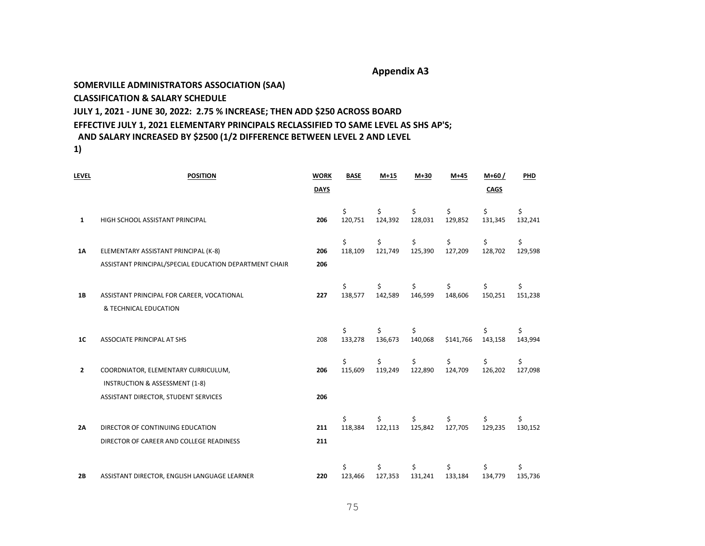#### **SOMERVILLE ADMINISTRATORS ASSOCIATION (SAA)**

#### **CLASSIFICATION & SALARY SCHEDULE**

#### **JULY 1, 2021 - JUNE 30, 2022: 2.75 % INCREASE; THEN ADD \$250 ACROSS BOARD**

# **EFFECTIVE JULY 1, 2021 ELEMENTARY PRINCIPALS RECLASSIFIED TO SAME LEVEL AS SHS AP'S;**

### **AND SALARY INCREASED BY \$2500 (1/2 DIFFERENCE BETWEEN LEVEL 2 AND LEVEL**

**1)**

| Level          | <b>POSITION</b>                                                                  | <b>WORK</b> | <b>BASE</b>   | $M+15$        | $M+30$        | $M+45$        | $M+60/$       | PHD           |
|----------------|----------------------------------------------------------------------------------|-------------|---------------|---------------|---------------|---------------|---------------|---------------|
|                |                                                                                  | <b>DAYS</b> |               |               |               |               | <b>CAGS</b>   |               |
| $\mathbf{1}$   | HIGH SCHOOL ASSISTANT PRINCIPAL                                                  | 206         | \$<br>120,751 | Ś<br>124,392  | \$<br>128,031 | Ś<br>129,852  | \$<br>131,345 | \$<br>132,241 |
| 1Α             | ELEMENTARY ASSISTANT PRINCIPAL (K-8)                                             | 206         | \$<br>118,109 | \$<br>121,749 | \$<br>125,390 | \$<br>127,209 | \$<br>128,702 | \$<br>129,598 |
|                | ASSISTANT PRINCIPAL/SPECIAL EDUCATION DEPARTMENT CHAIR                           | 206         |               |               |               |               |               |               |
| <b>1B</b>      | ASSISTANT PRINCIPAL FOR CAREER, VOCATIONAL<br>& TECHNICAL EDUCATION              | 227         | 138,577       | 142,589       | Ś.<br>146,599 | Ś<br>148,606  | \$<br>150,251 | \$<br>151,238 |
| 1 <sub>C</sub> | <b>ASSOCIATE PRINCIPAL AT SHS</b>                                                | 208         | Ś<br>133,278  | Ś<br>136,673  | \$<br>140,068 | \$141,766     | Ś<br>143,158  | \$<br>143,994 |
| $\mathbf{2}$   | COORDNIATOR, ELEMENTARY CURRICULUM,<br><b>INSTRUCTION &amp; ASSESSMENT (1-8)</b> | 206         | Ś.<br>115,609 | Ś.<br>119,249 | \$<br>122,890 | Ś<br>124,709  | \$<br>126,202 | \$<br>127,098 |
|                | ASSISTANT DIRECTOR, STUDENT SERVICES                                             | 206         |               |               |               |               |               |               |
| 2Α             | DIRECTOR OF CONTINUING EDUCATION<br>DIRECTOR OF CAREER AND COLLEGE READINESS     | 211<br>211  | Ś.<br>118,384 | Ś.<br>122,113 | Ś.<br>125,842 | Ś<br>127,705  | Ś.<br>129,235 | \$<br>130,152 |
| 2B             | ASSISTANT DIRECTOR, ENGLISH LANGUAGE LEARNER                                     | 220         | Ś<br>123,466  | Ś<br>127,353  | \$<br>131,241 | Ś<br>133,184  | Ś<br>134,779  | \$<br>135,736 |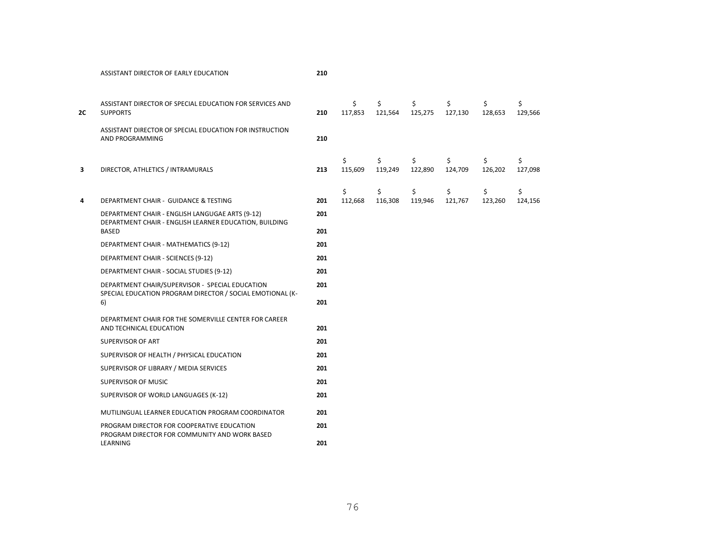| 2C | ASSISTANT DIRECTOR OF SPECIAL EDUCATION FOR SERVICES AND<br><b>SUPPORTS</b>                                  | 210 | \$<br>117,853 | \$<br>121,564 | \$<br>125,275 | \$<br>127,130 | \$<br>128,653 | \$<br>129,566 |
|----|--------------------------------------------------------------------------------------------------------------|-----|---------------|---------------|---------------|---------------|---------------|---------------|
|    | ASSISTANT DIRECTOR OF SPECIAL EDUCATION FOR INSTRUCTION<br>AND PROGRAMMING                                   | 210 |               |               |               |               |               |               |
| 3  | DIRECTOR, ATHLETICS / INTRAMURALS                                                                            | 213 | \$<br>115,609 | \$<br>119,249 | \$<br>122,890 | \$<br>124,709 | \$<br>126,202 | \$<br>127,098 |
| 4  | DEPARTMENT CHAIR - GUIDANCE & TESTING                                                                        | 201 | \$<br>112,668 | \$<br>116,308 | \$<br>119,946 | \$<br>121,767 | \$<br>123,260 | \$<br>124,156 |
|    | DEPARTMENT CHAIR - ENGLISH LANGUGAE ARTS (9-12)                                                              | 201 |               |               |               |               |               |               |
|    | DEPARTMENT CHAIR - ENGLISH LEARNER EDUCATION, BUILDING<br><b>BASED</b>                                       | 201 |               |               |               |               |               |               |
|    | DEPARTMENT CHAIR - MATHEMATICS (9-12)                                                                        | 201 |               |               |               |               |               |               |
|    | DEPARTMENT CHAIR - SCIENCES (9-12)                                                                           | 201 |               |               |               |               |               |               |
|    | DEPARTMENT CHAIR - SOCIAL STUDIES (9-12)                                                                     | 201 |               |               |               |               |               |               |
|    | DEPARTMENT CHAIR/SUPERVISOR - SPECIAL EDUCATION<br>SPECIAL EDUCATION PROGRAM DIRECTOR / SOCIAL EMOTIONAL (K- | 201 |               |               |               |               |               |               |
|    | 6)                                                                                                           | 201 |               |               |               |               |               |               |
|    | DEPARTMENT CHAIR FOR THE SOMERVILLE CENTER FOR CAREER<br>AND TECHNICAL EDUCATION                             | 201 |               |               |               |               |               |               |
|    | SUPERVISOR OF ART                                                                                            | 201 |               |               |               |               |               |               |
|    | SUPERVISOR OF HEALTH / PHYSICAL EDUCATION                                                                    | 201 |               |               |               |               |               |               |
|    | SUPERVISOR OF LIBRARY / MEDIA SERVICES                                                                       | 201 |               |               |               |               |               |               |
|    | SUPERVISOR OF MUSIC                                                                                          | 201 |               |               |               |               |               |               |
|    | SUPERVISOR OF WORLD LANGUAGES (K-12)                                                                         | 201 |               |               |               |               |               |               |
|    | MUTILINGUAL LEARNER EDUCATION PROGRAM COORDINATOR                                                            | 201 |               |               |               |               |               |               |
|    | PROGRAM DIRECTOR FOR COOPERATIVE EDUCATION<br>PROGRAM DIRECTOR FOR COMMUNITY AND WORK BASED                  | 201 |               |               |               |               |               |               |
|    | LEARNING                                                                                                     | 201 |               |               |               |               |               |               |

ASSISTANT DIRECTOR OF EARLY EDUCATION **210**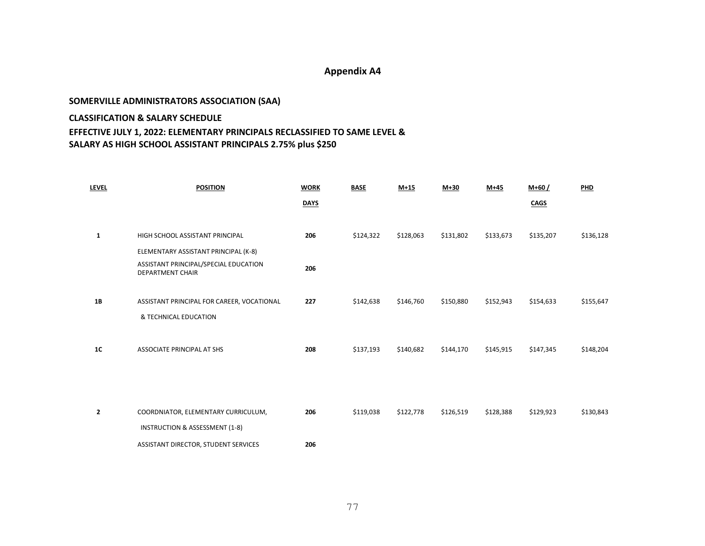## **SOMERVILLE ADMINISTRATORS ASSOCIATION (SAA) CLASSIFICATION & SALARY SCHEDULE EFFECTIVE JULY 1, 2022: ELEMENTARY PRINCIPALS RECLASSIFIED TO SAME LEVEL & SALARY AS HIGH SCHOOL ASSISTANT PRINCIPALS 2.75% plus \$250**

| <b>LEVEL</b> | <b>POSITION</b>                                                  | <b>WORK</b> | <b>BASE</b> | $M+15$    | $M+30$    | $M+45$    | $M+60/$     | PHD       |
|--------------|------------------------------------------------------------------|-------------|-------------|-----------|-----------|-----------|-------------|-----------|
|              |                                                                  | <b>DAYS</b> |             |           |           |           | <b>CAGS</b> |           |
|              |                                                                  |             |             |           |           |           |             |           |
| $\mathbf{1}$ | HIGH SCHOOL ASSISTANT PRINCIPAL                                  | 206         | \$124,322   | \$128,063 | \$131,802 | \$133,673 | \$135,207   | \$136,128 |
|              | ELEMENTARY ASSISTANT PRINCIPAL (K-8)                             |             |             |           |           |           |             |           |
|              | ASSISTANT PRINCIPAL/SPECIAL EDUCATION<br><b>DEPARTMENT CHAIR</b> | 206         |             |           |           |           |             |           |
| 1B           | ASSISTANT PRINCIPAL FOR CAREER, VOCATIONAL                       | 227         | \$142,638   | \$146,760 | \$150,880 | \$152,943 | \$154,633   | \$155,647 |
|              | & TECHNICAL EDUCATION                                            |             |             |           |           |           |             |           |
|              |                                                                  |             |             |           |           |           |             |           |
| 1C           | ASSOCIATE PRINCIPAL AT SHS                                       | 208         | \$137,193   | \$140,682 | \$144,170 | \$145,915 | \$147,345   | \$148,204 |
|              |                                                                  |             |             |           |           |           |             |           |
|              |                                                                  |             |             |           |           |           |             |           |
|              |                                                                  |             |             |           |           |           |             |           |
| 2            | COORDNIATOR, ELEMENTARY CURRICULUM,                              | 206         | \$119,038   | \$122,778 | \$126,519 | \$128,388 | \$129,923   | \$130,843 |
|              | INSTRUCTION & ASSESSMENT (1-8)                                   |             |             |           |           |           |             |           |
|              | ASSISTANT DIRECTOR, STUDENT SERVICES                             | 206         |             |           |           |           |             |           |
|              |                                                                  |             |             |           |           |           |             |           |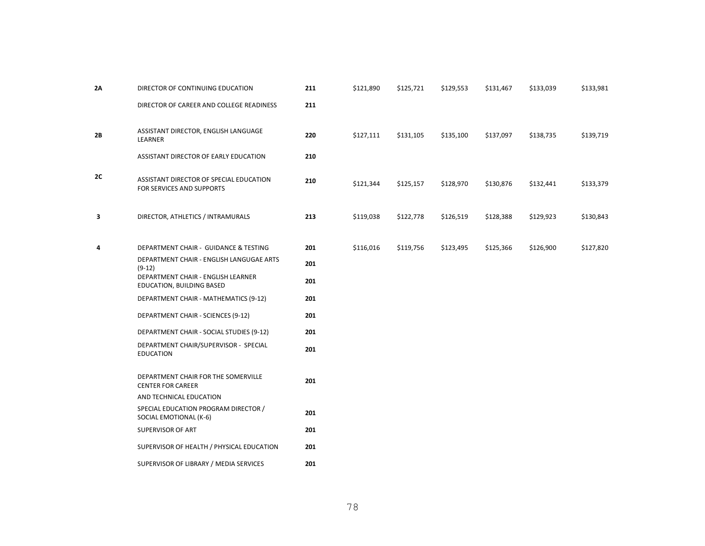| 2A | DIRECTOR OF CONTINUING EDUCATION                                     | 211 | \$121,890 | \$125,721 | \$129,553 | \$131,467 | \$133,039 | \$133,981 |
|----|----------------------------------------------------------------------|-----|-----------|-----------|-----------|-----------|-----------|-----------|
|    | DIRECTOR OF CAREER AND COLLEGE READINESS                             | 211 |           |           |           |           |           |           |
| 2B | ASSISTANT DIRECTOR, ENGLISH LANGUAGE<br>LEARNER                      | 220 | \$127,111 | \$131,105 | \$135,100 | \$137,097 | \$138,735 | \$139,719 |
|    | ASSISTANT DIRECTOR OF EARLY EDUCATION                                | 210 |           |           |           |           |           |           |
| 2C | ASSISTANT DIRECTOR OF SPECIAL EDUCATION<br>FOR SERVICES AND SUPPORTS | 210 | \$121,344 | \$125,157 | \$128,970 | \$130,876 | \$132,441 | \$133,379 |
| 3  | DIRECTOR, ATHLETICS / INTRAMURALS                                    | 213 | \$119,038 | \$122,778 | \$126,519 | \$128,388 | \$129,923 | \$130,843 |
| 4  | DEPARTMENT CHAIR - GUIDANCE & TESTING                                | 201 | \$116,016 | \$119,756 | \$123,495 | \$125,366 | \$126,900 | \$127,820 |
|    | DEPARTMENT CHAIR - ENGLISH LANGUGAE ARTS<br>$(9-12)$                 | 201 |           |           |           |           |           |           |
|    | DEPARTMENT CHAIR - ENGLISH LEARNER<br>EDUCATION, BUILDING BASED      | 201 |           |           |           |           |           |           |
|    | DEPARTMENT CHAIR - MATHEMATICS (9-12)                                | 201 |           |           |           |           |           |           |
|    | DEPARTMENT CHAIR - SCIENCES (9-12)                                   | 201 |           |           |           |           |           |           |
|    | DEPARTMENT CHAIR - SOCIAL STUDIES (9-12)                             | 201 |           |           |           |           |           |           |
|    | DEPARTMENT CHAIR/SUPERVISOR - SPECIAL<br><b>EDUCATION</b>            | 201 |           |           |           |           |           |           |
|    | DEPARTMENT CHAIR FOR THE SOMERVILLE<br><b>CENTER FOR CAREER</b>      | 201 |           |           |           |           |           |           |
|    | AND TECHNICAL EDUCATION                                              |     |           |           |           |           |           |           |
|    | SPECIAL EDUCATION PROGRAM DIRECTOR /<br>SOCIAL EMOTIONAL (K-6)       | 201 |           |           |           |           |           |           |
|    | SUPERVISOR OF ART                                                    | 201 |           |           |           |           |           |           |
|    | SUPERVISOR OF HEALTH / PHYSICAL EDUCATION                            | 201 |           |           |           |           |           |           |
|    | SUPERVISOR OF LIBRARY / MEDIA SERVICES                               | 201 |           |           |           |           |           |           |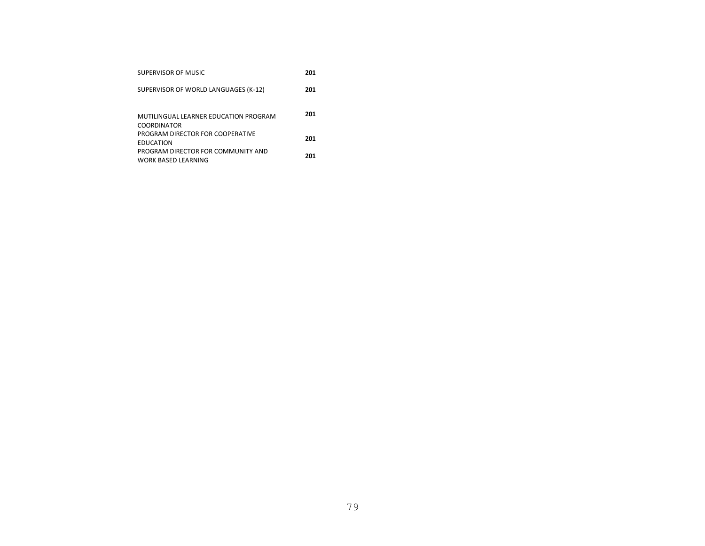| SUPERVISOR OF MUSIC                                              | 201 |
|------------------------------------------------------------------|-----|
| SUPERVISOR OF WORLD LANGUAGES (K-12)                             | 201 |
| MUTIUNGUAL LEARNER EDUCATION PROGRAM<br><b>COORDINATOR</b>       | 201 |
| PROGRAM DIRECTOR FOR COOPERATIVE<br><b>FDUCATION</b>             | 201 |
| PROGRAM DIRECTOR FOR COMMUNITY AND<br><b>WORK BASED LEARNING</b> | 201 |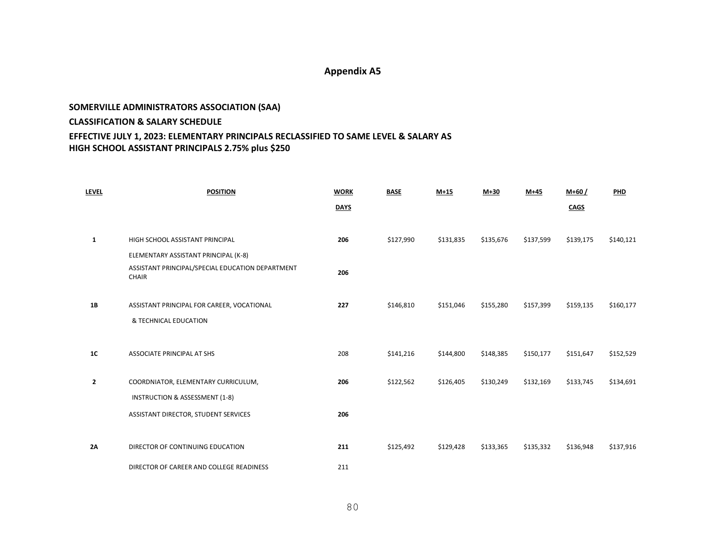### **SOMERVILLE ADMINISTRATORS ASSOCIATION (SAA) CLASSIFICATION & SALARY SCHEDULE EFFECTIVE JULY 1, 2023: ELEMENTARY PRINCIPALS RECLASSIFIED TO SAME LEVEL & SALARY AS HIGH SCHOOL ASSISTANT PRINCIPALS 2.75% plus \$250**

| <b>LEVEL</b> | <b>POSITION</b>                                                  | <b>WORK</b> | <b>BASE</b> | $M+15$    | $M+30$    | $M+45$    | $M+60/$     | PHD       |
|--------------|------------------------------------------------------------------|-------------|-------------|-----------|-----------|-----------|-------------|-----------|
|              |                                                                  | <b>DAYS</b> |             |           |           |           | <b>CAGS</b> |           |
|              |                                                                  |             |             |           |           |           |             |           |
| 1            | HIGH SCHOOL ASSISTANT PRINCIPAL                                  | 206         | \$127,990   | \$131,835 | \$135,676 | \$137,599 | \$139,175   | \$140,121 |
|              | ELEMENTARY ASSISTANT PRINCIPAL (K-8)                             |             |             |           |           |           |             |           |
|              | ASSISTANT PRINCIPAL/SPECIAL EDUCATION DEPARTMENT<br><b>CHAIR</b> | 206         |             |           |           |           |             |           |
| <b>1B</b>    | ASSISTANT PRINCIPAL FOR CAREER, VOCATIONAL                       | 227         | \$146,810   | \$151,046 | \$155,280 | \$157,399 | \$159,135   | \$160,177 |
|              | & TECHNICAL EDUCATION                                            |             |             |           |           |           |             |           |
| <b>1C</b>    | ASSOCIATE PRINCIPAL AT SHS                                       | 208         | \$141,216   | \$144,800 | \$148,385 | \$150,177 | \$151,647   | \$152,529 |
| 2            | COORDNIATOR, ELEMENTARY CURRICULUM,                              | 206         | \$122,562   | \$126,405 | \$130,249 | \$132,169 | \$133,745   | \$134,691 |
|              | INSTRUCTION & ASSESSMENT (1-8)                                   |             |             |           |           |           |             |           |
|              | ASSISTANT DIRECTOR, STUDENT SERVICES                             | 206         |             |           |           |           |             |           |
|              |                                                                  |             |             |           |           |           |             |           |
| 2A           | DIRECTOR OF CONTINUING EDUCATION                                 | 211         | \$125,492   | \$129,428 | \$133,365 | \$135,332 | \$136,948   | \$137,916 |
|              | DIRECTOR OF CAREER AND COLLEGE READINESS                         | 211         |             |           |           |           |             |           |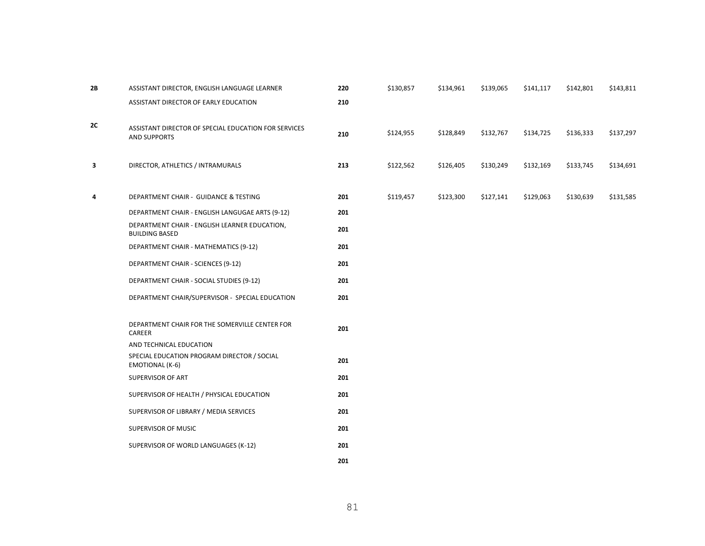| 2B | ASSISTANT DIRECTOR, ENGLISH LANGUAGE LEARNER                                | 220 | \$130,857 | \$134,961 | \$139,065 | \$141,117 | \$142,801 | \$143,811 |
|----|-----------------------------------------------------------------------------|-----|-----------|-----------|-----------|-----------|-----------|-----------|
|    | ASSISTANT DIRECTOR OF EARLY EDUCATION                                       | 210 |           |           |           |           |           |           |
| 2C | ASSISTANT DIRECTOR OF SPECIAL EDUCATION FOR SERVICES<br><b>AND SUPPORTS</b> | 210 | \$124,955 | \$128,849 | \$132,767 | \$134,725 | \$136,333 | \$137,297 |
| 3  | DIRECTOR, ATHLETICS / INTRAMURALS                                           | 213 | \$122,562 | \$126,405 | \$130,249 | \$132,169 | \$133,745 | \$134,691 |
| 4  | DEPARTMENT CHAIR - GUIDANCE & TESTING                                       | 201 | \$119,457 | \$123,300 | \$127,141 | \$129,063 | \$130,639 | \$131,585 |
|    | DEPARTMENT CHAIR - ENGLISH LANGUGAE ARTS (9-12)                             | 201 |           |           |           |           |           |           |
|    | DEPARTMENT CHAIR - ENGLISH LEARNER EDUCATION,<br><b>BUILDING BASED</b>      | 201 |           |           |           |           |           |           |
|    | DEPARTMENT CHAIR - MATHEMATICS (9-12)                                       | 201 |           |           |           |           |           |           |
|    | DEPARTMENT CHAIR - SCIENCES (9-12)                                          | 201 |           |           |           |           |           |           |
|    | DEPARTMENT CHAIR - SOCIAL STUDIES (9-12)                                    | 201 |           |           |           |           |           |           |
|    | DEPARTMENT CHAIR/SUPERVISOR - SPECIAL EDUCATION                             | 201 |           |           |           |           |           |           |
|    | DEPARTMENT CHAIR FOR THE SOMERVILLE CENTER FOR<br>CAREER                    | 201 |           |           |           |           |           |           |
|    | AND TECHNICAL EDUCATION                                                     |     |           |           |           |           |           |           |
|    | SPECIAL EDUCATION PROGRAM DIRECTOR / SOCIAL<br>EMOTIONAL (K-6)              | 201 |           |           |           |           |           |           |
|    | SUPERVISOR OF ART                                                           | 201 |           |           |           |           |           |           |
|    | SUPERVISOR OF HEALTH / PHYSICAL EDUCATION                                   | 201 |           |           |           |           |           |           |
|    | SUPERVISOR OF LIBRARY / MEDIA SERVICES                                      | 201 |           |           |           |           |           |           |
|    | SUPERVISOR OF MUSIC                                                         | 201 |           |           |           |           |           |           |
|    | SUPERVISOR OF WORLD LANGUAGES (K-12)                                        | 201 |           |           |           |           |           |           |
|    |                                                                             | 201 |           |           |           |           |           |           |